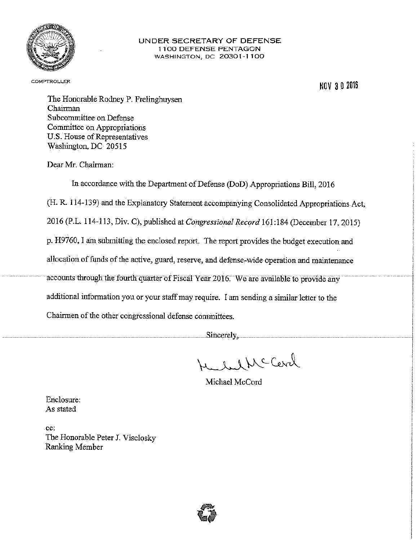

# UNDER SECRETARY OF DEFENSE 1100 DEFENSE PENTAGON WASHINGTON, DC 20301-1100

COMPTROLLER

NOV 3 0 2016

The Honorable Rodney P. Frelinghuysen Chairman Subcommittee on Defense Committee on Appropriations U.S. House of Representatives Washington, DC 20515

Dear Mr. Chairman:

In accordance with the Department of Defense (DoD) Appropriations Bill, 2016

(H. R. 114-139) and the Explanatory Statement accompanying Consolidated Appropriations Act,

2016 (P.L. 114-113, Div. C), published at Congressional Record 161:184 (December 17, 2015)

p. H9760, I am submitting the enclosed report. The report provides the budget execution and

allocation of funds of the active, guard, reserve, and defense-wide operation and maintenance

accounts through the fourth quarter of Fiscal Year 2016. We are available to provide any

additional information you or your staff may require. I am sending a similar letter to the

Chairmen of the other congressional defense committees.

Sincerely.

1 MC Cercl

Michael McCord

Enclosure: As stated

 $cc$ : The Honorable Peter J. Visclosky Ranking Member

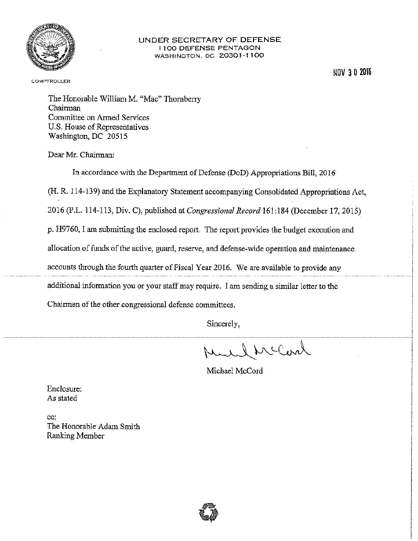

# UNDER SECRETARY OF DEFENSE **1100 DEFENSE PENTAGON** WASHINGTON, DC 20301-1100

**NOV 3 0 2016** 

COMPTROLLER

The Honorable William M. "Mac" Thornberry Chairman Committee on Armed Services U.S. House of Representatives Washington, DC 20515

Dear Mr. Chairman:

In accordance with the Department of Defense (DoD) Appropriations Bill, 2016 (H. R. 114-139) and the Explanatory Statement accompanying Consolidated Appropriations Act, 2016 (P.L. 114-113, Div. C), published at Congressional Record 161:184 (December 17, 2015) p. H9760, I am submitting the enclosed report. The report provides the budget execution and allocation of funds of the active, guard, reserve, and defense-wide operation and maintenance. accounts through the fourth quarter of Fiscal Year 2016. We are available to provide any additional information you or your staff may require. I am sending a similar letter to the Chairmen of the other congressional defense committees.

Sincerely,

McCard

Michael McCord

Enclosure: As stated

cc: The Honorable Adam Smith Ranking Member

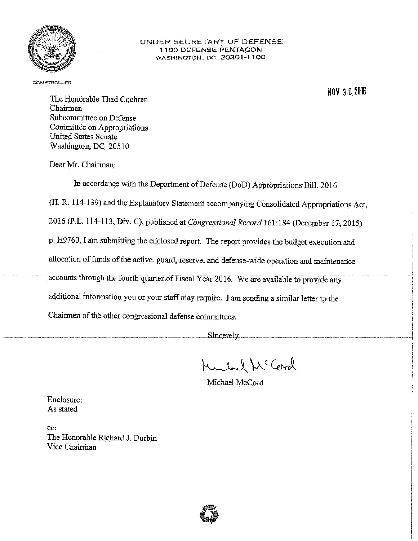

# UNDER SECRETARY OF DEFENSE 1100 DEFENSE PENTAGON WASHINGTON, DC: 20301-1100

COMPTROLLER

**NOV 3 0 2016** 

The Honorable Thad Cochran Chairman Subcommittee on Defense Committee on Appropriations **United States Senate** Washington, DC 20510

Dear Mr. Chairman:

In accordance with the Department of Defense (DoD) Appropriations Bill, 2016

(H. R. 114-139) and the Explanatory Statement accompanying Consolidated Appropriations Act, 2016 (P.L. 114-113, Div. C), published at Congressional Record 161:184 (December 17, 2015) p. H9760, I am submitting the enclosed report. The report provides the budget execution and allocation of funds of the active, guard, reserve, and defense-wide operation and maintenance accounts through the fourth quarter of Fiscal Year 2016. We are available to provide any additional information you or your staff may require. I am sending a similar letter to the Chairmen of the other congressional defense committees.

Sincerely........

Hurled McCord

Michael McCord

Enclosure: As stated

cc: The Honorable Richard J. Durbin Vice Chairman

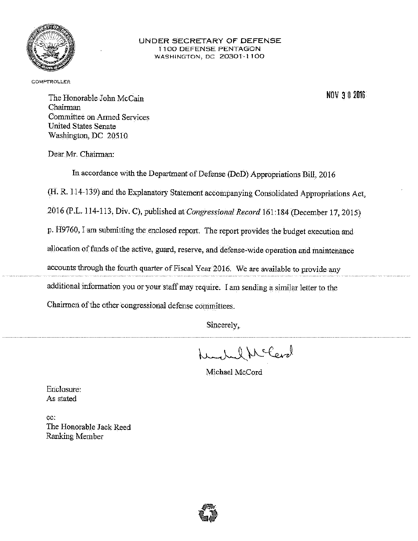

# UNDER SECRETARY OF DEFENSE **1100 DEFENSE PENTAGON** WASHINGTON, DC 20301-1100

COMPTROLLER

NOV 30 2016

The Honorable John McCain Chairman Committee on Armed Services **United States Senate** Washington, DC 20510

Dear Mr. Chairman:

In accordance with the Department of Defense (DoD) Appropriations Bill, 2016 (H. R. 114-139) and the Explanatory Statement accompanying Consolidated Appropriations Act, 2016 (P.L. 114-113, Div. C), published at Congressional Record 161:184 (December 17, 2015) p. H9760, I am submitting the enclosed report. The report provides the budget execution and allocation of funds of the active, guard, reserve, and defense-wide operation and maintenance accounts through the fourth quarter of Fiscal Year 2016. We are available to provide any additional information you or your staff may require. I am sending a similar letter to the Chairmen of the other congressional defense committees.

Sincerely.

New Nelend

Michael McCord

Enclosure: As stated

cc. The Honorable Jack Reed Ranking Member

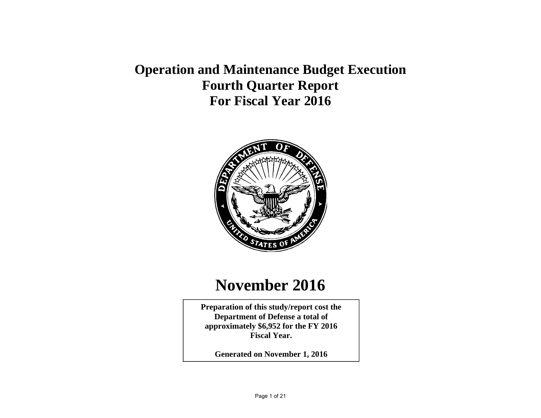# **Operation and Maintenance Budget Execution Fourth Quarter Report For Fiscal Year 2016**



# **November 2016**

**Preparation of this study/report cost the Department of Defense a total of approximately \$6,952 for the FY 2016 Fiscal Year.** 

**Generated on November 1, 2016**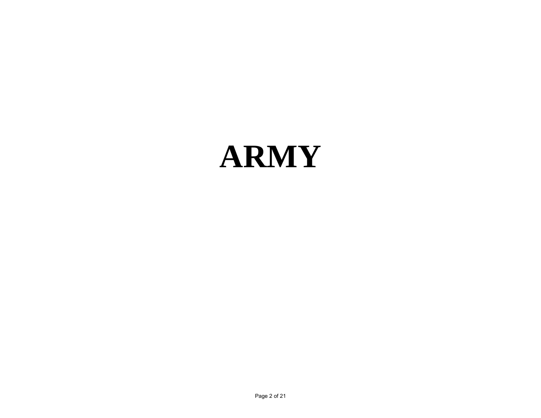# **ARMY**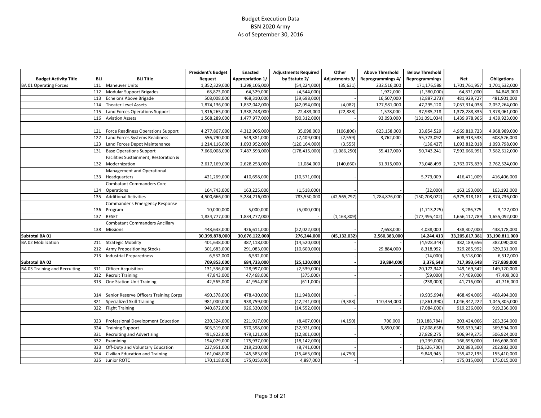# Budget Execution Data BSN 2020 Army As of September 30, 2016

|                               |     |                                        | <b>President's Budget</b> | Enacted          | <b>Adjustments Required</b> | Other          | <b>Above Threshold</b> | <b>Below Threshold</b> |                |                |
|-------------------------------|-----|----------------------------------------|---------------------------|------------------|-----------------------------|----------------|------------------------|------------------------|----------------|----------------|
| <b>Budget Activity Title</b>  | BLI | <b>BLI Title</b>                       | Request                   | Appropriation 1/ | by Statute 2/               | Adjustments 3/ | Reprogrammings 4/      | Reprogrammings         | Net            | Obligations    |
| <b>BA 01 Operating Forces</b> | 111 | <b>Maneuver Units</b>                  | 1,352,329,000             | 1,298,105,000    | (54, 224, 000)              | (35, 631)      | 232,516,000            | 171,176,588            | 1,701,761,957  | 1,701,632,000  |
|                               | 112 | <b>Modular Support Brigades</b>        | 68,873,000                | 64,329,000       | (4,544,000)                 |                | 1,922,000              | (1,380,000)            | 64,871,000     | 64,849,000     |
|                               | 113 | Echelons Above Brigade                 | 508,008,000               | 468,310,000      | (39,698,000)                |                | 16,507,000             | (2,887,273)            | 481,929,727    | 481,901,000    |
|                               | 114 | <b>Theater Level Assets</b>            | 1,874,136,000             | 1,832,042,000    | (42,094,000)                | (4,082)        | 177,981,000            | 47,295,120             | 2,057,314,038  | 2,057,264,000  |
|                               | 115 | Land Forces Operations Support         | 1,316,265,000             | 1,338,748,000    | 22,483,000                  | (22, 883)      | 1,578,000              | 37,985,718             | 1,378,288,835  | 1,378,061,000  |
|                               | 116 | <b>Aviation Assets</b>                 | 1,568,289,000             | 1,477,977,000    | (90, 312, 000)              |                | 93,093,000             | (131,091,034)          | 1,439,978,966  | 1,439,923,000  |
|                               |     |                                        |                           |                  |                             |                |                        |                        |                |                |
|                               | 121 | Force Readiness Operations Support     | 4,277,807,000             | 4,312,905,000    | 35,098,000                  | (106, 806)     | 623,158,000            | 33,854,529             | 4,969,810,723  | 4,968,989,000  |
|                               | 122 | Land Forces Systems Readiness          | 556,790,000               | 549,381,000      | (7,409,000)                 | (2, 559)       | 3,762,000              | 55,773,092             | 608,913,533    | 608,526,000    |
|                               | 123 | Land Forces Depot Maintenance          | 1,214,116,000             | 1,093,952,000    | (120, 164, 000)             | (3, 555)       |                        | (136, 427)             | 1,093,812,018  | 1,093,798,000  |
|                               | 131 | <b>Base Operations Support</b>         | 7,666,008,000             | 7,487,593,000    | (178, 415, 000)             | (1,086,250)    | 55,417,000             | 50,743,241             | 7,592,666,991  | 7,582,612,000  |
|                               |     | Facilities Sustainment, Restoration &  |                           |                  |                             |                |                        |                        |                |                |
|                               | 132 | Modernization                          | 2,617,169,000             | 2,628,253,000    | 11,084,000                  | (140, 660)     | 61,915,000             | 73,048,499             | 2,763,075,839  | 2,762,524,000  |
|                               |     | Management and Operational             |                           |                  |                             |                |                        |                        |                |                |
|                               | 133 | Headquarters                           | 421,269,000               | 410,698,000      | (10,571,000)                |                |                        | 5,773,009              | 416,471,009    | 416,406,000    |
|                               |     | <b>Combatant Commanders Core</b>       |                           |                  |                             |                |                        |                        |                |                |
|                               | 134 | Operations                             | 164,743,000               | 163,225,000      | (1,518,000)                 |                |                        | (32,000)               | 163,193,000    | 163,193,000    |
|                               | 135 | <b>Additional Activities</b>           | 4,500,666,000             | 5,284,216,000    | 783,550,000                 | (42, 565, 797) | 1,284,876,000          | (150, 708, 022)        | 6,375,818,181  | 6,374,736,000  |
|                               |     | Commander's Emergency Response         |                           |                  |                             |                |                        |                        |                |                |
|                               | 136 | Program                                | 10,000,000                | 5,000,000        | (5,000,000)                 |                |                        | (1,713,225)            | 3,286,775      | 3,127,000      |
|                               | 137 | <b>RESET</b>                           | 1,834,777,000             | 1,834,777,000    |                             | (1, 163, 809)  |                        | (177, 495, 402)        | 1,656,117,789  | 1,655,092,000  |
|                               |     | <b>Combatant Commanders Ancillary</b>  |                           |                  |                             |                |                        |                        |                |                |
|                               | 138 | <b>Missions</b>                        | 448,633,000               | 426,611,000      | (22,022,000)                |                | 7,658,000              | 4,038,000              | 438,307,000    | 438,178,000    |
| Subtotal BA 01                |     |                                        | 30,399,878,000            | 30,676,122,000   | 276,244,000                 | (45, 132, 032) | 2,560,383,000          | 14,244,413             | 33,205,617,381 | 33,190,811,000 |
| <b>BA 02 Mobilization</b>     | 211 | <b>Strategic Mobility</b>              | 401,638,000               | 387,118,000      | (14,520,000)                |                |                        | (4,928,344)            | 382,189,656    | 382,090,000    |
|                               | 212 | <b>Army Prepositioning Stocks</b>      | 301,683,000               | 291,083,000      | (10,600,000)                |                | 29,884,000             | 8,318,992              | 329,285,992    | 329,231,000    |
|                               | 213 | <b>Industrial Preparedness</b>         | 6,532,000                 | 6,532,000        |                             |                |                        | (14,000)               | 6,518,000      | 6,517,000      |
| Subtotal BA 02                |     |                                        | 709,853,000               | 684,733,000      | (25, 120, 000)              |                | 29,884,000             | 3,376,648              | 717,993,648    | 717,839,000    |
| BA 03 Training and Recruiting | 311 | <b>Officer Acquisition</b>             | 131,536,000               | 128,997,000      | (2,539,000)                 |                |                        | 20,172,342             | 149,169,342    | 149,120,000    |
|                               | 312 | <b>Recruit Training</b>                | 47,843,000                | 47,468,000       | (375,000)                   |                |                        | (59,000)               | 47,409,000     | 47,409,000     |
|                               | 313 | <b>One Station Unit Training</b>       | 42,565,000                | 41,954,000       | (611,000)                   |                |                        | (238,000)              | 41,716,000     | 41,716,000     |
|                               |     |                                        |                           |                  |                             |                |                        |                        |                |                |
|                               | 314 | Senior Reserve Officers Training Corps | 490,378,000               | 478,430,000      | (11,948,000)                |                |                        | (9,935,994)            | 468,494,006    | 468,494,000    |
|                               | 321 | <b>Specialized Skill Training</b>      | 981,000,000               | 938,759,000      | (42, 241, 000)              | (9, 388)       | 110,454,000            | (2,861,390)            | 1,046,342,222  | 1,045,805,000  |
|                               | 322 | <b>Flight Training</b>                 | 940,872,000               | 926,320,000      | (14, 552, 000)              |                |                        | (7,084,000)            | 919,236,000    | 919,236,000    |
|                               |     |                                        |                           |                  |                             |                |                        |                        |                |                |
|                               | 323 | Professional Development Education     | 230,324,000               | 221,917,000      | (8,407,000)                 | (4, 150)       | 700,000                | (19, 188, 784)         | 203,424,066    | 203,364,000    |
|                               | 324 | <b>Training Support</b>                | 603,519,000               | 570,598,000      | (32,921,000)                |                | 6,850,000              | (7,808,658)            | 569,639,342    | 569,594,000    |
|                               | 331 | <b>Recruiting and Advertising</b>      | 491,922,000               | 479,121,000      | (12,801,000)                |                |                        | 27,828,275             | 506,949,275    | 506,924,000    |
|                               | 332 | Examining                              | 194,079,000               | 175,937,000      | (18, 142, 000)              |                |                        | (9, 239, 000)          | 166,698,000    | 166,698,000    |
|                               | 333 | Off-Duty and Voluntary Education       | 227,951,000               | 219,210,000      | (8,741,000)                 |                |                        | (16, 326, 700)         | 202,883,300    | 202,882,000    |
|                               | 334 | Civilian Education and Training        | 161,048,000               | 145,583,000      | (15, 465, 000)              | (4,750)        |                        | 9,843,945              | 155,422,195    | 155,410,000    |
|                               | 335 | Junior ROTC                            | 170,118,000               | 175,015,000      | 4,897,000                   |                |                        |                        | 175,015,000    | 175,015,000    |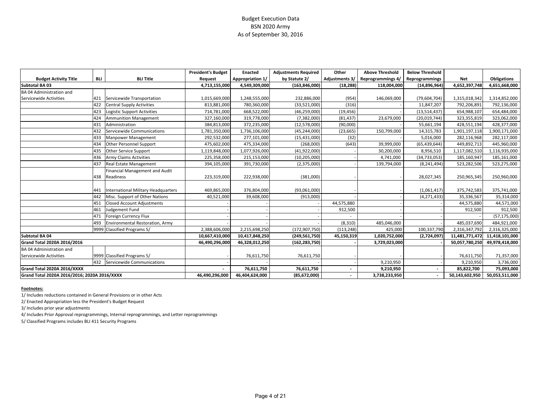# Budget Execution Data BSN 2020 Army As of September 30, 2016

|                                              |     |                                     | <b>President's Budget</b> | Enacted          | <b>Adjustments Required</b> | Other                 | <b>Above Threshold</b>   | <b>Below Threshold</b> |                |                    |
|----------------------------------------------|-----|-------------------------------------|---------------------------|------------------|-----------------------------|-----------------------|--------------------------|------------------------|----------------|--------------------|
| <b>Budget Activity Title</b>                 | BLI | <b>BLI Title</b>                    | Request                   | Appropriation 1/ | by Statute 2/               | <b>Adjustments 3/</b> | <b>Reprogrammings 4/</b> | Reprogrammings         | Net            | <b>Obligations</b> |
| <b>Subtotal BA 03</b>                        |     |                                     | 4,713,155,000             | 4,549,309,000    | (163, 846, 000)             | (18, 288)             | 118,004,000              | (14,896,964)           | 4,652,397,748  | 4,651,668,000      |
| BA 04 Administration and                     |     |                                     |                           |                  |                             |                       |                          |                        |                |                    |
| Servicewide Activities                       | 421 | Servicewide Transportation          | 1,015,669,000             | 1,248,555,000    | 232,886,000                 | (954)                 | 146,069,000              | (79, 604, 704)         | 1,315,018,342  | 1,314,852,000      |
|                                              | 422 | <b>Central Supply Activities</b>    | 813,881,000               | 780,360,000      | (33,521,000)                | (316)                 |                          | 11,847,207             | 792,206,891    | 792,136,000        |
|                                              | 423 | Logistic Support Activities         | 714,781,000               | 668,522,000      | (46, 259, 000)              | (19, 456)             |                          | (13, 514, 437)         | 654,988,107    | 654,484,000        |
|                                              | 424 | <b>Ammunition Management</b>        | 327,160,000               | 319,778,000      | (7, 382, 000)               | (81, 437)             | 23,679,000               | (20, 019, 744)         | 323,355,819    | 323,062,000        |
|                                              | 431 | Administration                      | 384,813,000               | 372,235,000      | (12,578,000)                | (90,000)              |                          | 55,661,194             | 428,551,194    | 428,377,000        |
|                                              | 432 | Servicewide Communications          | 1,781,350,000             | 1,736,106,000    | (45, 244, 000)              | (23, 665)             | 150,799,000              | 14,315,783             | 1,901,197,118  | 1,900,171,000      |
|                                              | 433 | <b>Manpower Management</b>          | 292,532,000               | 277,101,000      | (15, 431, 000)              | (32)                  |                          | 5,016,000              | 282,116,968    | 282,117,000        |
|                                              | 434 | <b>Other Personnel Support</b>      | 475,602,000               | 475,334,000      | (268,000)                   | (643)                 | 39,999,000               | (65, 439, 644)         | 449,892,713    | 445,960,000        |
|                                              | 435 | <b>Other Service Support</b>        | 1,119,848,000             | 1,077,926,000    | (41,922,000)                |                       | 30,200,000               | 8,956,510              | 1,117,082,510  | 1,116,935,000      |
|                                              | 436 | <b>Army Claims Activities</b>       | 225,358,000               | 215,153,000      | (10, 205, 000)              |                       | 4,741,000                | (34, 733, 053)         | 185,160,947    | 185,161,000        |
|                                              | 437 | <b>Real Estate Management</b>       | 394,105,000               | 391,730,000      | (2,375,000)                 |                       | 139,794,000              | (8, 241, 494)          | 523,282,506    | 523,275,000        |
|                                              |     | Financial Management and Audit      |                           |                  |                             |                       |                          |                        |                |                    |
|                                              | 438 | Readiness                           | 223,319,000               | 222,938,000      | (381,000)                   |                       |                          | 28,027,345             | 250,965,345    | 250,960,000        |
|                                              |     |                                     |                           |                  |                             |                       |                          |                        |                |                    |
|                                              | 441 | International Military Headquarters | 469,865,000               | 376,804,000      | (93,061,000)                |                       |                          | (1,061,417)            | 375,742,583    | 375,741,000        |
|                                              | 442 | Misc. Support of Other Nations      | 40,521,000                | 39,608,000       | (913,000)                   |                       |                          | (4, 271, 433)          | 35,336,567     | 35,314,000         |
|                                              | 451 | <b>Closed Account Adjustments</b>   |                           |                  |                             | 44,575,880            |                          |                        | 44,575,880     | 44,571,000         |
|                                              | 461 | Judgement Fund                      |                           |                  |                             | 912,500               |                          |                        | 912,500        | 912,500            |
|                                              | 471 | Foreign Currency Flux               |                           |                  |                             |                       |                          |                        |                | (57, 175, 000)     |
|                                              | 493 | Environmental Restoration, Army     |                           |                  |                             | (8, 310)              | 485,046,000              |                        | 485,037,690    | 484,921,000        |
|                                              |     | 9999 Classified Programs 5/         | 2,388,606,000             | 2,215,698,250    | (172, 907, 750)             | (113, 248)            | 425,000                  | 100,337,790            | 2,316,347,792  | 2,316,325,000      |
| Subtotal BA 04                               |     |                                     | 10,667,410,000            | 10,417,848,250   | (249, 561, 750)             | 45,150,319            | 1,020,752,000            | (2,724,097)            | 11,481,771,472 | 11,418,101,000     |
| Grand Total 2020A 2016/2016                  |     |                                     | 46,490,296,000            | 46,328,012,250   | (162, 283, 750)             |                       | 3,729,023,000            |                        | 50,057,780,250 | 49,978,418,000     |
| BA 04 Administration and                     |     |                                     |                           |                  |                             |                       |                          |                        |                |                    |
| Servicewide Activities                       |     | 9999 Classified Programs 5/         |                           | 76,611,750       | 76,611,750                  |                       |                          |                        | 76,611,750     | 71,357,000         |
|                                              | 432 | Servicewide Communications          |                           |                  |                             |                       | 9,210,950                |                        | 9,210,950      | 3,736,000          |
| Grand Total 2020A 2016/XXXX                  |     |                                     |                           | 76,611,750       | 76,611,750                  | $\blacksquare$        | 9,210,950                |                        | 85,822,700     | 75,093,000         |
| Grand Total 2020A 2016/2016; 2020A 2016/XXXX |     | 46,490,296,000                      | 46,404,624,000            | (85,672,000)     | $\overline{\phantom{a}}$    | 3,738,233,950         |                          | 50,143,602,950         | 50,053,511,000 |                    |

#### **Footnotes:**

1/ Includes reductions contained in General Provisions or in other Acts

2/ Enacted Appropriation less the President's Budget Request

3/ Includes prior year adjustments

4/ Includes Prior Approval reprogrammings, Internal reprogrammings, and Letter reprogrammings

5/ Classified Programs includes BLI 411 Security Programs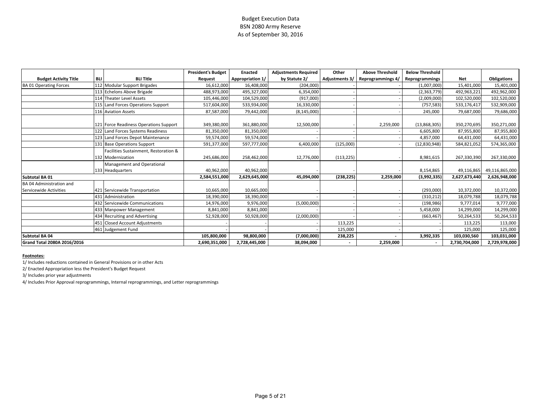# Budget Execution Data BSN 2080 Army Reserve As of September 30, 2016

|                               |     |                                                                                          | <b>President's Budget</b> | Enacted                   | <b>Adjustments Required</b> | Other                 | <b>Above Threshold</b> | <b>Below Threshold</b>    |                           |                           |
|-------------------------------|-----|------------------------------------------------------------------------------------------|---------------------------|---------------------------|-----------------------------|-----------------------|------------------------|---------------------------|---------------------------|---------------------------|
| <b>Budget Activity Title</b>  | BLI | <b>BLI Title</b>                                                                         | <b>Request</b>            | Appropriation 1/          | by Statute 2/               | <b>Adjustments 3/</b> | Reprogrammings 4/      | Reprogrammings            | <b>Net</b>                | <b>Obligations</b>        |
| <b>BA 01 Operating Forces</b> |     | 112 Modular Support Brigades                                                             | 16,612,000                | 16,408,000                | (204,000)                   |                       |                        | (1,007,000)               | 15,401,000                | 15,401,000                |
|                               |     | 113 Echelons Above Brigade                                                               | 488,973,000               | 495,327,000               | 6,354,000                   |                       |                        | (2,363,779)               | 492,963,221               | 492,962,000               |
|                               |     | 114 Theater Level Assets                                                                 | 105,446,000               | 104,529,000               | (917,000)                   |                       |                        | (2,009,000)               | 102,520,000               | 102,520,000               |
|                               |     | 115 Land Forces Operations Support                                                       | 517,604,000               | 533,934,000               | 16,330,000                  |                       |                        | (757, 583)                | 533,176,417               | 532,909,000               |
|                               |     | 116 Aviation Assets                                                                      | 87,587,000                | 79,442,000                | (8, 145, 000)               |                       |                        | 245,000                   | 79,687,000                | 79,686,000                |
|                               |     | 121 Force Readiness Operations Support<br>122 Land Forces Systems Readiness              | 349,380,000<br>81,350,000 | 361,880,000<br>81,350,000 | 12,500,000                  |                       | 2,259,000              | (13,868,305)<br>6,605,800 | 350,270,695<br>87,955,800 | 350,271,000<br>87,955,800 |
|                               |     | 123 Land Forces Depot Maintenance                                                        | 59,574,000                | 59,574,000                |                             |                       |                        | 4,857,000                 | 64,431,000                | 64,431,000                |
|                               |     | 131 Base Operations Support                                                              | 591,377,000               | 597,777,000               | 6,400,000                   | (125,000)             |                        | (12,830,948)              | 584,821,052               | 574,365,000               |
|                               |     | Facilities Sustainment, Restoration &<br>132 Modernization<br>Management and Operational | 245,686,000               | 258,462,000               | 12,776,000                  | (113, 225)            |                        | 8,981,615                 | 267,330,390               | 267,330,000               |
|                               |     | 133 Headquarters                                                                         | 40,962,000                | 40,962,000                |                             |                       |                        | 8,154,865                 | 49,116,865                | 49,116,865,000            |
| Subtotal BA 01                |     |                                                                                          | 2,584,551,000             | 2,629,645,000             | 45,094,000                  | (238, 225)            | 2,259,000              | (3,992,335)               | 2,627,673,440             | 2,626,948,000             |
| BA 04 Administration and      |     |                                                                                          |                           |                           |                             |                       |                        |                           |                           |                           |
| Servicewide Activities        |     | 421 Servicewide Transportation                                                           | 10,665,000                | 10,665,000                |                             |                       |                        | (293,000)                 | 10,372,000                | 10,372,000                |
|                               |     | 431 Administration                                                                       | 18,390,000                | 18,390,000                |                             |                       |                        | (310, 212)                | 18,079,788                | 18,079,788                |
|                               |     | 432 Servicewide Communications                                                           | 14,976,000                | 9,976,000                 | (5,000,000)                 |                       |                        | (198, 986)                | 9,777,014                 | 9,777,000                 |
|                               |     | 433 Manpower Management                                                                  | 8,841,000                 | 8,841,000                 |                             |                       |                        | 5,458,000                 | 14,299,000                | 14,299,000                |
|                               |     | 434 Recruiting and Advertising                                                           | 52,928,000                | 50,928,000                | (2,000,000)                 |                       |                        | (663, 467)                | 50,264,533                | 50,264,533                |
|                               | 451 | <b>Closed Account Adjustments</b>                                                        |                           |                           |                             | 113,225               |                        |                           | 113,225                   | 113,000                   |
|                               |     | 461 Judgement Fund                                                                       |                           |                           |                             | 125,000               |                        |                           | 125,000                   | 125,000                   |
| Subtotal BA 04                |     |                                                                                          | 105,800,000               | 98,800,000                | (7,000,000)                 | 238,225               |                        | 3,992,335                 | 103,030,560               | 103,031,000               |
| Grand Total 2080A 2016/2016   |     |                                                                                          | 2,690,351,000             | 2,728,445,000             | 38,094,000                  |                       | 2,259,000              | $\overline{\phantom{a}}$  | 2,730,704,000             | 2,729,978,000             |

#### **Footnotes:**

1/ Includes reductions contained in General Provisions or in other Acts

2/ Enacted Appropriation less the President's Budget Request

3/ Includes prior year adjustments

4/ Includes Prior Approval reprogrammings, Internal reprogrammings, and Letter reprogrammings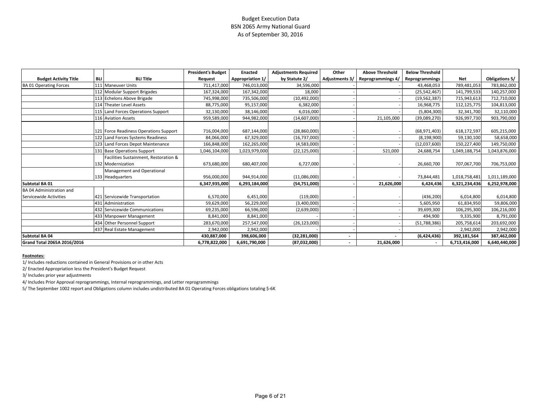# Budget Execution Data BSN 2065 Army National Guard As of September 30, 2016

|                               |     |                                        | <b>President's Budget</b> | Enacted          | <b>Adjustments Required</b> | Other                    | <b>Above Threshold</b> | <b>Below Threshold</b>   |               |                       |
|-------------------------------|-----|----------------------------------------|---------------------------|------------------|-----------------------------|--------------------------|------------------------|--------------------------|---------------|-----------------------|
| <b>Budget Activity Title</b>  | BLI | <b>BLI Title</b>                       | Request                   | Appropriation 1/ | by Statute 2/               | <b>Adjustments 3/</b>    | Reprogrammings 4/      | Reprogrammings           | <b>Net</b>    | <b>Obligations 5/</b> |
| <b>BA 01 Operating Forces</b> | 111 | <b>Maneuver Units</b>                  | 711,417,000               | 746,013,000      | 34,596,000                  |                          |                        | 43,468,053               | 789,481,053   | 783,862,000           |
|                               |     | Modular Support Brigades               | 167,324,000               | 167,342,000      | 18,000                      |                          |                        | (25, 542, 467)           | 141,799,533   | 140,257,000           |
|                               |     | 113 Echelons Above Brigade             | 745,998,000               | 735,506,000      | (10, 492, 000)              |                          |                        | (19, 562, 387)           | 715,943,613   | 712,710,000           |
|                               |     | 114 Theater Level Assets               | 88,775,000                | 95,157,000       | 6,382,000                   |                          |                        | 16,968,775               | 112,125,775   | 104,813,000           |
|                               |     | 115 Land Forces Operations Support     | 32,130,000                | 38,146,000       | 6,016,000                   |                          |                        | (5,804,300)              | 32,341,700    | 32,110,000            |
|                               |     | 116 Aviation Assets                    | 959,589,000               | 944,982,000      | (14,607,000)                |                          | 21,105,000             | (39,089,270)             | 926,997,730   | 903,790,000           |
|                               |     |                                        |                           |                  |                             |                          |                        |                          |               |                       |
|                               |     | 121 Force Readiness Operations Support | 716,004,000               | 687,144,000      | (28, 860, 000)              |                          |                        | (68,971,403)             | 618,172,597   | 605,215,000           |
|                               |     | 122 Land Forces Systems Readiness      | 84,066,000                | 67,329,000       | (16, 737, 000)              |                          |                        | (8, 198, 900)            | 59,130,100    | 58,658,000            |
|                               | 123 | Land Forces Depot Maintenance          | 166,848,000               | 162,265,000      | (4,583,000)                 |                          |                        | (12,037,600)             | 150,227,400   | 149,750,000           |
|                               |     | 131 Base Operations Support            | 1,046,104,000             | 1,023,979,000    | (22, 125, 000)              |                          | 521,000                | 24,688,754               | 1,049,188,754 | 1,043,876,000         |
|                               |     | Facilities Sustainment, Restoration &  |                           |                  |                             |                          |                        |                          |               |                       |
|                               |     | 132 Modernization                      | 673,680,000               | 680,407,000      | 6,727,000                   |                          |                        | 26,660,700               | 707,067,700   | 706,753,000           |
|                               |     | Management and Operational             |                           |                  |                             |                          |                        |                          |               |                       |
|                               |     | 133 Headquarters                       | 956,000,000               | 944,914,000      | (11,086,000)                |                          |                        | 73,844,481               | 1,018,758,481 | 1,011,189,000         |
| Subtotal BA 01                |     |                                        | 6,347,935,000             | 6,293,184,000    | (54,751,000)                |                          | 21,626,000             | 6,424,436                | 6,321,234,436 | 6,252,978,000         |
| BA 04 Administration and      |     |                                        |                           |                  |                             |                          |                        |                          |               |                       |
| Servicewide Activities        |     | 421 Servicewide Transportation         | 6,570,000                 | 6,451,000        | (119,000)                   |                          |                        | (436, 200)               | 6,014,800     | 6,014,800             |
|                               |     | 431 Administration                     | 59,629,000                | 56,229,000       | (3,400,000)                 |                          |                        | 5,605,950                | 61,834,950    | 59,806,000            |
|                               |     | 432 Servicewide Communications         | 69,235,000                | 66,596,000       | (2,639,000)                 |                          |                        | 39,699,300               | 106,295,300   | 106,216,000           |
|                               | 433 | <b>Manpower Management</b>             | 8,841,000                 | 8,841,000        |                             |                          |                        | 494,900                  | 9,335,900     | 8,791,000             |
|                               |     | 434 Other Personnel Support            | 283,670,000               | 257,547,000      | (26, 123, 000)              |                          |                        | (51, 788, 386)           | 205,758,614   | 203,692,000           |
|                               | 437 | Real Estate Management                 | 2,942,000                 | 2,942,000        |                             |                          |                        |                          | 2,942,000     | 2,942,000             |
| Subtotal BA 04                |     |                                        | 430,887,000               | 398,606,000      | (32, 281, 000)              |                          |                        | (6,424,436)              | 392,181,564   | 387,462,000           |
| Grand Total 2065A 2016/2016   |     |                                        | 6,778,822,000             | 6,691,790,000    | (87,032,000)                | $\overline{\phantom{a}}$ | 21,626,000             | $\overline{\phantom{a}}$ | 6,713,416,000 | 6,640,440,000         |

#### **Footnotes:**

1/ Includes reductions contained in General Provisions or in other Acts

2/ Enacted Appropriation less the President's Budget Request

3/ Includes prior year adjustments

4/ Includes Prior Approval reprogrammings, Internal reprogrammings, and Letter reprogrammings

5/ The September 1002 report and Obligations column includes undistributed BA 01 Operating Forces obligations totaling \$‐6K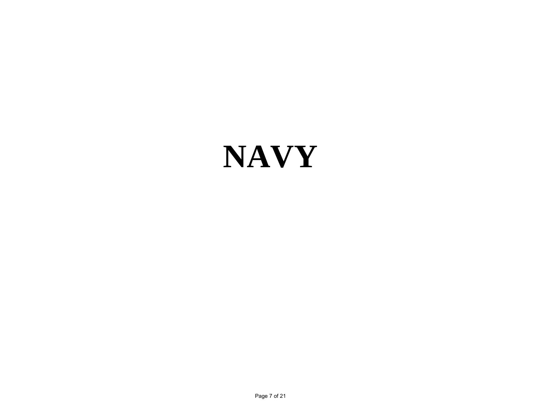# **NAVY**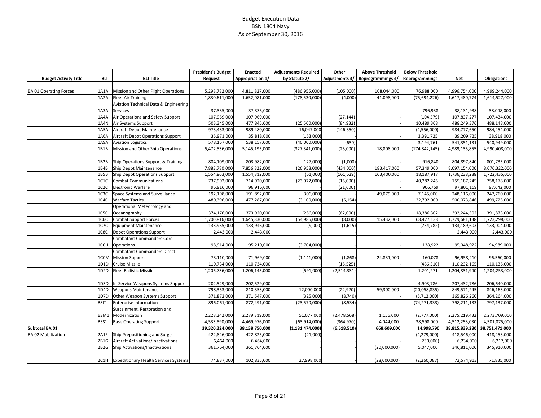# Budget Execution Data BSN 1804 Navy As of September 30, 2016

|                              |                   |                                                  | <b>President's Budget</b> | <b>Enacted</b>   | <b>Adjustments Required</b> | Other          | <b>Above Threshold</b> | <b>Below Threshold</b> |                |                    |
|------------------------------|-------------------|--------------------------------------------------|---------------------------|------------------|-----------------------------|----------------|------------------------|------------------------|----------------|--------------------|
| <b>Budget Activity Title</b> | BLI               | <b>BLI Title</b>                                 | Request                   | Appropriation 1/ | by Statute 2/               | Adjustments 3/ | Reprogrammings 4/      | Reprogrammings         | <b>Net</b>     | <b>Obligations</b> |
|                              |                   |                                                  |                           |                  |                             |                |                        |                        |                |                    |
| <b>BA01 Operating Forces</b> | 1A1A              | Mission and Other Flight Operations              | 5,298,782,000             | 4,811,827,000    | (486, 955, 000)             | (105,000)      | 108,044,000            | 76,988,000             | 4,996,754,000  | 4,999,244,000      |
|                              | 1A2A              | <b>Fleet Air Training</b>                        | 1,830,611,000             | 1,652,081,000    | (178, 530, 000)             | (4,000)        | 41,098,000             | (75, 694, 226)         | 1,617,480,774  | 1,614,527,000      |
|                              |                   | <b>Aviation Technical Data &amp; Engineering</b> |                           |                  |                             |                |                        |                        |                |                    |
|                              | 1A3A              | Services                                         | 37,335,000                | 37,335,000       |                             |                |                        | 796,938                | 38,131,938     | 38,048,000         |
|                              | 1A4A              | Air Operations and Safety Support                | 107,969,000               | 107,969,000      |                             | (27, 144)      |                        | (104, 579)             | 107,837,277    | 107,434,000        |
|                              | 1A4N              | Air Systems Support                              | 503,345,000               | 477,845,000      | (25,500,000)                | (84, 932)      |                        | 10,489,308             | 488,249,376    | 488,148,000        |
|                              | 1A5A              | Aircraft Depot Maintenance                       | 973,433,000               | 989,480,000      | 16,047,000                  | (146, 350)     |                        | (4,556,000)            | 984,777,650    | 984,454,000        |
|                              | 1A6A              | Aircraft Depot Operations Support                | 35,971,000                | 35,818,000       | (153,000)                   |                |                        | 3,391,725              | 39,209,725     | 38,918,000         |
|                              | 1A9A              | <b>Aviation Logistics</b>                        | 578,157,000               | 538,157,000      | (40,000,000)                | (630)          |                        | 3,194,761              | 541,351,131    | 540,949,000        |
|                              | 1B1B              | Mission and Other Ship Operations                | 5,472,536,000             | 5,145,195,000    | (327, 341, 000)             | (25,000)       | 18,808,000             | (174, 842, 145)        | 4,989,135,855  | 4,990,408,000      |
|                              |                   |                                                  |                           |                  |                             |                |                        |                        |                |                    |
|                              | 1B2B              | Ship Operations Support & Training               | 804,109,000               | 803,982,000      | (127,000)                   | (1,000)        |                        | 916,840                | 804,897,840    | 801,735,000        |
|                              | 1B4B              | Ship Depot Maintenance                           | 7,883,780,000             | 7,856,822,000    | (26,958,000)                | (434,000)      | 183,417,000            | 57,349,000             | 8,097,154,000  | 8,076,322,000      |
|                              | 1B5B              | Ship Depot Operations Support                    | 1,554,863,000             | 1,554,812,000    | (51,000)                    | (161, 629)     | 163,400,000            | 18,187,917             | 1,736,238,288  | 1,722,435,000      |
|                              | 1C1C              | <b>Combat Communications</b>                     | 737,992,000               | 714,920,000      | (23,072,000)                | (15,000)       |                        | 40,282,245             | 755,187,245    | 758,178,000        |
|                              | 1C <sub>2</sub> C | <b>Electronic Warfare</b>                        | 96,916,000                | 96,916,000       |                             | (21,600)       |                        | 906,769                | 97,801,169     | 97,642,000         |
|                              | 1C3C              | Space Systems and Surveillance                   | 192,198,000               | 191,892,000      | (306,000)                   |                | 49,079,000             | 7,145,000              | 248,116,000    | 247,760,000        |
|                              | 1C4C              | <b>Warfare Tactics</b>                           | 480,396,000               | 477,287,000      | (3, 109, 000)               | (5, 154)       |                        | 22,792,000             | 500,073,846    | 499,725,000        |
|                              |                   | Operational Meteorology and                      |                           |                  |                             |                |                        |                        |                |                    |
|                              | 1C5C              | Oceanography                                     | 374,176,000               | 373,920,000      | (256,000)                   | (62,000)       |                        | 18,386,302             | 392,244,302    | 391,873,000        |
|                              | 1C6C              | <b>Combat Support Forces</b>                     | 1,700,816,000             | 1,645,830,000    | (54,986,000)                | (8,000)        | 15,432,000             | 68,427,138             | 1,729,681,138  | 1,723,298,000      |
|                              | 1C7C              | <b>Equipment Maintenance</b>                     | 133,955,000               | 133,946,000      | (9,000)                     | (1,615)        |                        | (754, 782)             | 133,189,603    | 133,004,000        |
|                              | 1C8C              | <b>Depot Operations Support</b>                  | 2,443,000                 | 2,443,000        |                             |                |                        |                        | 2,443,000      | 2,443,000          |
|                              |                   | <b>Combatant Commanders Core</b>                 |                           |                  |                             |                |                        |                        |                |                    |
|                              | 1CCH              | <b>Operations</b>                                | 98,914,000                | 95,210,000       | (3,704,000)                 |                |                        | 138,922                | 95,348,922     | 94,989,000         |
|                              |                   | <b>Combatant Commanders Direct</b>               |                           |                  |                             |                |                        |                        |                |                    |
|                              | 1CCM              | <b>Mission Support</b>                           | 73,110,000                | 71,969,000       | (1, 141, 000)               | (1,868)        | 24,831,000             | 160,078                | 96,958,210     | 96,560,000         |
|                              | 1D1D              | Cruise Missile                                   | 110,734,000               | 110,734,000      |                             | (15, 525)      |                        | (486, 310)             | 110,232,165    | 110,136,000        |
|                              | 1D2D              | <b>Fleet Ballistic Missile</b>                   | 1,206,736,000             | 1,206,145,000    | (591,000)                   | (2, 514, 331)  |                        | 1,201,271              | 1,204,831,940  | 1,204,253,000      |
|                              |                   |                                                  |                           |                  |                             |                |                        |                        |                |                    |
|                              | 1D3D              | In-Service Weapons Systems Support               | 202,529,000               | 202,529,000      |                             |                |                        | 4,903,786              | 207,432,786    | 206,640,000        |
|                              | 1D4D              | <b>Weapons Maintenance</b>                       | 798,353,000               | 810,353,000      | 12,000,000                  | (22, 920)      | 59,300,000             | (20,058,835)           | 849,571,245    | 846,163,000        |
|                              | 1D7D              | Other Weapon Systems Support                     | 371,872,000               | 371,547,000      | (325,000)                   | (8,740)        |                        | (5,712,000)            | 365,826,260    | 364,264,000        |
|                              | <b>BSIT</b>       | <b>Enterprise Information</b>                    | 896,061,000               | 872,491,000      | (23,570,000)                | (8, 534)       |                        | (74, 271, 333)         | 798,211,133    | 797,137,000        |
|                              |                   | Sustainment, Restoration and                     |                           |                  |                             |                |                        |                        |                |                    |
|                              | BSM1              | Modernization                                    | 2,228,242,000             | 2,279,319,000    | 51,077,000                  | (2,478,568)    | 1,156,000              | (2,777,000)            | 2,275,219,432  | 2,273,709,000      |
|                              | BSS1              | <b>Base Operating Support</b>                    | 4,533,890,000             | 4,469,976,000    | (63,914,000)                | (364, 970)     | 4,044,000              | 38,598,000             | 4,512,253,030  | 4,501,075,000      |
| Subtotal BA 01               |                   |                                                  | 39,320,224,000            | 38,138,750,000   | (1, 181, 474, 000)          | (6,518,510)    | 668,609,000            | 14,998,790             | 38,815,839,280 | 38,751,471,000     |
| <b>BA 02 Mobilization</b>    | 2A1F              | Ship Prepositioning and Surge                    | 422,846,000               | 422,825,000      | (21,000)                    |                |                        | (4, 279, 000)          | 418,546,000    | 418,453,000        |
|                              | 2B1G              | Aircraft Activations/Inactivations               | 6,464,000                 | 6,464,000        |                             |                |                        | (230,000)              | 6,234,000      | 6,217,000          |
|                              | 2B2G              | Ship Activations/Inactivations                   | 361,764,000               | 361,764,000      |                             |                | (20,000,000)           | 5,047,000              | 346,811,000    | 345,910,000        |
|                              |                   |                                                  |                           |                  |                             |                |                        |                        |                |                    |
|                              |                   | 2C1H Expeditionary Health Services Systems       | 74,837,000                | 102,835,000      | 27,998,000                  |                | (28,000,000)           | (2,260,087)            | 72,574,913     | 71,835,000         |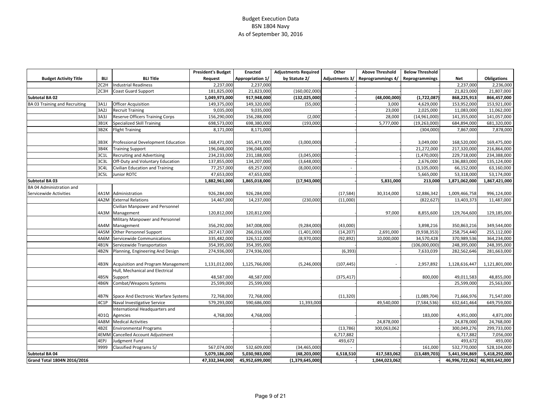# Budget Execution Data BSN 1804 Navy As of September 30, 2016

|                                 |            |                                        | <b>President's Budget</b> | Enacted          | <b>Adjustments Required</b> | Other                 | <b>Above Threshold</b>   | <b>Below Threshold</b> |                |                |
|---------------------------------|------------|----------------------------------------|---------------------------|------------------|-----------------------------|-----------------------|--------------------------|------------------------|----------------|----------------|
| <b>Budget Activity Title</b>    | <b>BLI</b> | <b>BLI Title</b>                       | Request                   | Appropriation 1/ | by Statute 2/               | <b>Adjustments 3/</b> | <b>Reprogrammings 4/</b> | Reprogrammings         | <b>Net</b>     | Obligations    |
|                                 | 2C2H       | <b>Industrial Readiness</b>            | 2,237,000                 | 2,237,000        |                             |                       |                          |                        | 2,237,000      | 2,236,000      |
|                                 | 2C3H       | <b>Coast Guard Support</b>             | 181,825,000               | 21,823,000       | (160,002,000)               |                       |                          |                        | 21,823,000     | 21,807,000     |
| Subtotal BA 02                  |            |                                        | 1,049,973,000             | 917,948,000      | (132, 025, 000)             |                       | (48,000,000)             | (1,722,087)            | 868,225,913    | 866,457,000    |
| BA 03 Training and Recruiting   | 3A1J       | <b>Officer Acquisition</b>             | 149,375,000               | 149,320,000      | (55,000                     |                       | 3,000                    | 4,629,000              | 153,952,000    | 153,921,000    |
|                                 | 3A2J       | <b>Recruit Training</b>                | 9,035,000                 | 9,035,000        |                             |                       | 23,000                   | 2,025,000              | 11,083,000     | 11,062,000     |
|                                 | 3A3J       | <b>Reserve Officers Training Corps</b> | 156,290,000               | 156,288,000      | (2,000)                     |                       | 28,000                   | (14,961,000)           | 141,355,000    | 141,057,000    |
|                                 | 3B1K       | Specialized Skill Training             | 698,573,000               | 698,380,000      | (193,000)                   |                       | 5,777,000                | (19, 263, 000)         | 684,894,000    | 681,320,000    |
|                                 | 3B2K       | <b>Flight Training</b>                 | 8,171,000                 | 8,171,000        |                             |                       |                          | (304,000)              | 7,867,000      | 7,878,000      |
|                                 |            |                                        |                           |                  |                             |                       |                          |                        |                |                |
|                                 | 3B3K       | Professional Development Education     | 168,471,000               | 165,471,000      | (3,000,000)                 |                       |                          | 3,049,000              | 168,520,000    | 169,475,000    |
|                                 | 3B4K       | <b>Training Support</b>                | 196,048,000               | 196,048,000      |                             |                       |                          | 21,272,000             | 217,320,000    | 216,864,000    |
|                                 | 3C1L       | <b>Recruiting and Advertising</b>      | 234,233,000               | 231,188,000      | (3,045,000)                 |                       |                          | (1,470,000)            | 229,718,000    | 234,388,000    |
|                                 | 3C3L       | Off-Duty and Voluntary Education       | 137,855,000               | 134,207,000      | (3,648,000)                 |                       |                          | 2,676,000              | 136,883,000    | 135,124,000    |
|                                 | 3C4L       | Civilian Education and Training        | 77,257,000                | 69,257,000       | (8,000,000)                 |                       |                          | (3, 105, 000)          | 66,152,000     | 63,160,000     |
|                                 | 3C5L       | Junior ROTC                            | 47,653,000                | 47,653,000       |                             |                       |                          | 5,665,000              | 53,318,000     | 53,174,000     |
| Subtotal BA 03                  |            |                                        | 1,882,961,000             | 1,865,018,000    | (17,943,000)                |                       | 5,831,000                | 213,000                | 1,871,062,000  | 1,867,421,000  |
| <b>BA 04 Administration and</b> |            |                                        |                           |                  |                             |                       |                          |                        |                |                |
| Servicewide Activities          |            | 4A1M Administration                    | 926,284,000               | 926,284,000      |                             | (17, 584)             | 30,314,000               | 52,886,342             | 1,009,466,758  | 996,124,000    |
|                                 | 4A2M       | <b>External Relations</b>              | 14,467,000                | 14,237,000       | (230,000)                   | (11,000)              |                          | (822, 627)             | 13,403,373     | 11,487,000     |
|                                 |            | Civilian Manpower and Personnel        |                           |                  |                             |                       |                          |                        |                |                |
|                                 | 4A3M       | Management                             | 120,812,000               | 120,812,000      |                             |                       | 97,000                   | 8,855,600              | 129,764,600    | 129,185,000    |
|                                 |            | Military Manpower and Personnel        |                           |                  |                             |                       |                          |                        |                |                |
|                                 | 4A4M       | Management                             | 356,292,000               | 347,008,000      | (9, 284, 000)               | (43,000)              |                          | 3,898,216              | 350,863,216    | 349,544,000    |
|                                 | 4A5M       | <b>Other Personnel Support</b>         | 267,417,000               | 266,016,000      | (1,401,000)                 | (14, 207)             | 2,691,000                | (9,938,353)            | 258,754,440    | 255,112,000    |
|                                 | 4A6M       | Servicewide Communications             | 335,482,000               | 326,512,000      | (8,970,000)                 | (92, 892)             | 10,000,000               | 34,570,428             | 370,989,536    | 364,234,000    |
|                                 | 4B1N       | Servicewide Transportation             | 354,395,000               | 354,395,000      |                             |                       |                          | (106,000,000)          | 248,395,000    | 248,395,000    |
|                                 | 4B2N       | Planning, Engineering And Design       | 274,936,000               | 274,936,000      |                             | (6, 393)              |                          | 7,633,039              | 282,562,646    | 281,663,000    |
|                                 |            |                                        |                           |                  |                             |                       |                          |                        |                |                |
|                                 | 4B3N       | Acquisition and Program Management     | 1,131,012,000             | 1,125,766,000    | (5,246,000)                 | (107, 445)            |                          | 2,957,892              | 1,128,616,447  | 1,121,801,000  |
|                                 |            | Hull, Mechanical and Electrical        |                           |                  |                             |                       |                          |                        |                |                |
|                                 | 4B5N       | Support                                | 48,587,000                | 48,587,000       |                             | (375, 417)            |                          | 800,000                | 49,011,583     | 48,855,000     |
|                                 | 4B6N       | Combat/Weapons Systems                 | 25,599,000                | 25,599,000       |                             |                       |                          |                        | 25,599,000     | 25,563,000     |
|                                 |            |                                        |                           |                  |                             |                       |                          |                        |                |                |
|                                 | 4B7N       | Space And Electronic Warfare Systems   | 72,768,000                | 72,768,000       |                             | (11, 320)             |                          | (1,089,704)            | 71,666,976     | 71,547,000     |
|                                 | 4C1P       | Naval Investigative Service            | 579,293,000               | 590,686,000      | 11,393,000                  |                       | 49,540,000               | (7,584,536)            | 632,641,464    | 649,759,000    |
|                                 |            | International Headquarters and         |                           |                  |                             |                       |                          |                        |                |                |
|                                 | 4D1Q       | Agencies                               | 4,768,000                 | 4,768,000        |                             |                       |                          | 183,000                | 4,951,000      | 4,871,000      |
|                                 | 4A8M       | <b>Medical Activities</b>              |                           |                  |                             |                       | 24,878,000               |                        | 24,878,000     | 24,768,000     |
|                                 | 4B2E       | <b>Environmental Programs</b>          |                           |                  |                             | (13, 786)             | 300,063,062              |                        | 300,049,276    | 299,733,000    |
|                                 |            | 4EMM Cancelled Account Adjustment      |                           |                  |                             | 6,717,882             |                          |                        | 6,717,882      | 7,056,000      |
|                                 | 4EPJ       | Judgment Fund                          |                           |                  |                             | 493,672               |                          |                        | 493,672        | 493,000        |
|                                 | 9999       | <b>Classified Programs 5/</b>          | 567,074,000               | 532,609,000      | (34, 465, 000)              |                       |                          | 161,000                | 532,770,000    | 528,104,000    |
| Subtotal BA 04                  |            |                                        | 5,079,186,000             | 5,030,983,000    | (48, 203, 000)              | 6,518,510             | 417,583,062              | (13, 489, 703)         | 5,441,594,869  | 5,418,292,000  |
| Grand Total 1804N 2016/2016     |            |                                        | 47,332,344,000            | 45,952,699,000   | (1,379,645,000)             |                       | 1,044,023,062            |                        | 46,996,722,062 | 46,903,642,000 |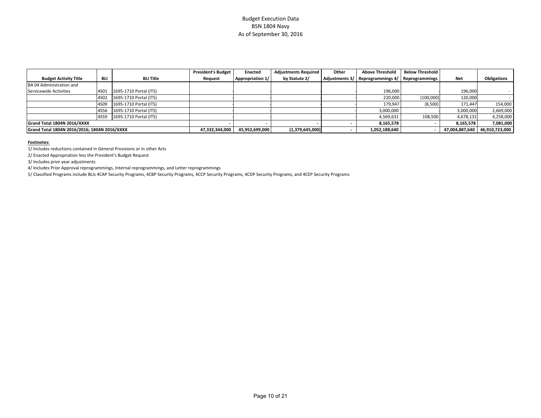# Budget Execution Data BSN 1804 Navy As of September 30, 2016

|                                              |             |                        | <b>President's Budget</b> | Enacted          | <b>Adjustments Required</b> | Other | <b>Above Threshold</b>                          | <b>Below Threshold</b> |                |                    |
|----------------------------------------------|-------------|------------------------|---------------------------|------------------|-----------------------------|-------|-------------------------------------------------|------------------------|----------------|--------------------|
| <b>Budget Activity Title</b>                 | <b>BLI</b>  | <b>BLI Title</b>       | Request                   | Appropriation 1/ | by Statute 2/               |       | Adjustments 3/ Reprogrammings 4/ Reprogrammings |                        | Net            | <b>Obligations</b> |
| BA 04 Administration and                     |             |                        |                           |                  |                             |       |                                                 |                        |                |                    |
| Servicewide Activities                       | 4S01        | 1695-1710 Portal (ITS) |                           |                  |                             |       | 196,000                                         |                        | 196,000        |                    |
|                                              | 4S02        | 1695-1710 Portal (ITS) |                           |                  |                             |       | 220,000                                         | (100,000)              | 120,000        |                    |
|                                              | 4S09        | 1695-1710 Portal (ITS) |                           |                  |                             |       | 179,947                                         | (8,500)                | 171,447        | 154,000            |
|                                              | 4S56        | 1695-1710 Portal (ITS) |                           |                  |                             |       | 3,000,000                                       |                        | 3,000,000      | 2,669,000          |
|                                              | <b>4S59</b> | 1695-1710 Portal (ITS) |                           |                  |                             |       | 4,569,631                                       | 108,500                | 4,678,131      | 4,258,000          |
| Grand Total 1804N 2016/XXXX                  |             |                        |                           |                  |                             |       | 8,165,578                                       |                        | 8,165,578      | 7,081,000          |
| Grand Total 1804N 2016/2016; 1804N 2016/XXXX |             |                        | 47,332,344,000            | 45,952,699,000   | (1,379,645,000)             |       | 1,052,188,640                                   |                        | 47,004,887,640 | 46,910,723,000     |

#### **Footnotes:**

1/ Includes reductions contained in General Provisions or in other Acts

2/ Enacted Appropriation less the President's Budget Request

3/ Includes prior year adjustments

4/ Includes Prior Approval reprogrammings, Internal reprogrammings, and Letter reprogrammings

5/ Classified Programs include BLIs 4CAP Security Programs, 4CBP Security Programs, 4CCP Security Programs, 4CDP Security Programs, and 4CEP Security Programs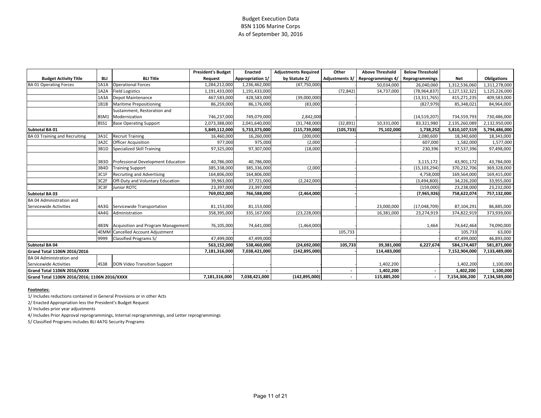# Budget Execution Data BSN 1106 Marine Corps As of September 30, 2016

|                                              |                   |                                    | <b>President's Budget</b> | Enacted          | <b>Adjustments Required</b> | Other                 | <b>Above Threshold</b> | <b>Below Threshold</b> |               |                    |
|----------------------------------------------|-------------------|------------------------------------|---------------------------|------------------|-----------------------------|-----------------------|------------------------|------------------------|---------------|--------------------|
| <b>Budget Activity Title</b>                 | <b>BLI</b>        | <b>BLI Title</b>                   | Request                   | Appropriation 1/ | by Statute 2/               | <b>Adjustments 3/</b> | Reprogrammings 4/      | Reprogrammings         | <b>Net</b>    | <b>Obligations</b> |
| <b>BA01 Operating Forces</b>                 | 1A1A              | <b>Operational Forces</b>          | 1,284,212,000             | 1,236,462,000    | (47, 750, 000)              |                       | 50,034,000             | 26,040,060             | 1,312,536,060 | 1,311,278,000      |
|                                              | 1A <sub>2</sub> A | <b>Field Logistics</b>             | 1,191,433,000             | 1,191,433,000    |                             | (72, 842)             | 14,737,000             | (78, 964, 837)         | 1,127,132,321 | 1,125,226,000      |
|                                              | 1A3A              | <b>Depot Maintenance</b>           | 467,583,000               | 428,583,000      | (39,000,000)                |                       |                        | (13, 311, 765)         | 415,271,235   | 409,583,000        |
|                                              | 1B1B              | <b>Maritime Prepositioning</b>     | 86,259,000                | 86,176,000       | (83,000)                    |                       |                        | (827, 979)             | 85,348,021    | 84,964,000         |
|                                              |                   | Sustainment, Restoration and       |                           |                  |                             |                       |                        |                        |               |                    |
|                                              | BSM1              | Modernization                      | 746,237,000               | 749,079,000      | 2,842,000                   |                       |                        | (14, 519, 207)         | 734,559,793   | 730,486,000        |
|                                              | BSS1              | <b>Base Operating Support</b>      | 2,073,388,000             | 2,041,640,000    | (31,748,000)                | (32, 891)             | 10,331,000             | 83,321,980             | 2,135,260,089 | 2,132,950,000      |
| Subtotal BA 01                               |                   |                                    | 5,849,112,000             | 5,733,373,000    | (115, 739, 000)             | (105, 733)            | 75,102,000             | 1,738,252              | 5,810,107,519 | 5,794,486,000      |
| BA 03 Training and Recruiting                | 3A1C              | <b>Recruit Training</b>            | 16,460,000                | 16,260,000       | (200,000)                   |                       |                        | 2,080,600              | 18,340,600    | 18,343,000         |
|                                              | 3A <sub>2</sub> C | <b>Officer Acquisition</b>         | 977,000                   | 975,000          | (2,000)                     |                       |                        | 607,000                | 1,582,000     | 1,577,000          |
|                                              | 3B1D              | Specialized Skill Training         | 97,325,000                | 97,307,000       | (18,000)                    |                       |                        | 230,396                | 97,537,396    | 97,498,000         |
|                                              |                   |                                    |                           |                  |                             |                       |                        |                        |               |                    |
|                                              | 3B3D              | Professional Development Education | 40,786,000                | 40,786,000       |                             |                       |                        | 3,115,172              | 43,901,172    | 43,784,000         |
|                                              | 3B4D              | <b>Training Support</b>            | 385,338,000               | 385,336,000      | (2,000)                     |                       |                        | (15, 103, 294)         | 370,232,706   | 369,328,000        |
|                                              | 3C1F              | <b>Recruiting and Advertising</b>  | 164,806,000               | 164,806,000      |                             |                       |                        | 4,758,000              | 169,564,000   | 169,415,000        |
|                                              | 3C2F              | Off-Duty and Voluntary Education   | 39,963,000                | 37,721,000       | (2, 242, 000)               |                       |                        | (3,494,800)            | 34,226,200    | 33,955,000         |
|                                              | 3C3F              | Junior ROTC                        | 23,397,000                | 23,397,000       |                             |                       |                        | (159,000)              | 23,238,000    | 23,232,000         |
| Subtotal BA 03                               |                   |                                    | 769,052,000               | 766,588,000      | (2,464,000)                 |                       |                        | (7,965,926)            | 758,622,074   | 757,132,000        |
| <b>BA 04 Administration and</b>              |                   |                                    |                           |                  |                             |                       |                        |                        |               |                    |
| Servicewide Activities                       | 4A3G              | Servicewide Transportation         | 81,153,000                | 81,153,000       |                             |                       | 23,000,000             | (17,048,709)           | 87,104,291    | 86,885,000         |
|                                              | 4A4G              | Administration                     | 358,395,000               | 335,167,000      | (23, 228, 000)              |                       | 16,381,000             | 23,274,919             | 374,822,919   | 373,939,000        |
|                                              |                   |                                    |                           |                  |                             |                       |                        |                        |               |                    |
|                                              | 4B3N              | Acquisition and Program Management | 76,105,000                | 74,641,000       | (1,464,000)                 |                       |                        | 1,464                  | 74,642,464    | 74,090,000         |
|                                              |                   | 4EMM Cancelled Account Adjustment  |                           |                  |                             | 105,733               |                        |                        | 105,733       | 63,000             |
|                                              | 9999              | <b>Classified Programs 5/</b>      | 47,499,000                | 47,499,000       |                             |                       |                        |                        | 47,499,000    | 46,893,000         |
| Subtotal BA 04                               |                   |                                    | 563,152,000               | 538,460,000      | (24, 692, 000)              | 105,733               | 39,381,000             | 6,227,674              | 584,174,407   | 581,871,000        |
| Grand Total 1106N 2016/2016                  |                   |                                    | 7,181,316,000             | 7,038,421,000    | (142, 895, 000)             |                       | 114,483,000            |                        | 7,152,904,000 | 7,133,489,000      |
| <b>BA 04 Administration and</b>              |                   |                                    |                           |                  |                             |                       |                        |                        |               |                    |
| Servicewide Activities                       | 4S38              | DON Video Transition Support       |                           |                  |                             |                       | 1,402,200              |                        | 1,402,200     | 1,100,000          |
| Grand Total 1106N 2016/XXXX                  |                   |                                    |                           |                  |                             |                       | 1,402,200              |                        | 1,402,200     | 1,100,000          |
| Grand Total 1106N 2016/2016; 1106N 2016/XXXX |                   |                                    | 7,181,316,000             | 7,038,421,000    | (142, 895, 000)             |                       | 115,885,200            |                        | 7,154,306,200 | 7,134,589,000      |

#### **Footnotes:**

1/ Includes reductions contained in General Provisions or in other Acts

2/ Enacted Appropriation less the President's Budget Request

3/ Includes prior year adjustments

4/ Includes Prior Approval reprogrammings, Internal reprogrammings, and Letter reprogrammings

5/ Classified Programs includes BLI 4A7G Security Programs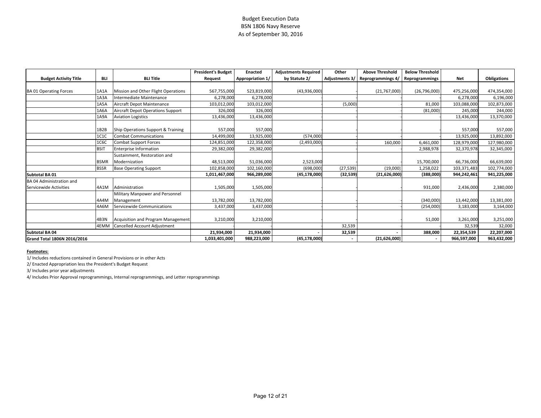# Budget Execution Data BSN 1806 Navy Reserve As of September 30, 2016

|                               |             |                                     | <b>President's Budget</b> | <b>Enacted</b>   | <b>Adjustments Required</b> | Other          | <b>Above Threshold</b> | <b>Below Threshold</b> |             |             |
|-------------------------------|-------------|-------------------------------------|---------------------------|------------------|-----------------------------|----------------|------------------------|------------------------|-------------|-------------|
| <b>Budget Activity Title</b>  | BLI         | <b>BLI Title</b>                    | Request                   | Appropriation 1/ | by Statute 2/               | Adjustments 3/ | Reprogrammings 4       | Reprogrammings         | <b>Net</b>  | Obligations |
|                               |             |                                     |                           |                  |                             |                |                        |                        |             |             |
| <b>BA 01 Operating Forces</b> | 1A1A        | Mission and Other Flight Operations | 567,755,000               | 523,819,000      | (43,936,000)                |                | (21,767,000)           | (26,796,000)           | 475,256,000 | 474,354,000 |
|                               | 1A3A        | Intermediate Maintenance            | 6,278,000                 | 6,278,000        |                             |                |                        |                        | 6,278,000   | 6,196,000   |
|                               | 1A5A        | Aircraft Depot Maintenance          | 103,012,000               | 103,012,000      |                             | (5,000)        |                        | 81,000                 | 103,088,000 | 102,873,000 |
|                               | 1A6A        | Aircraft Depot Operations Support   | 326,000                   | 326,000          |                             |                |                        | (81,000)               | 245,000     | 244,000     |
|                               | 1A9A        | <b>Aviation Logistics</b>           | 13,436,000                | 13,436,000       |                             |                |                        |                        | 13,436,000  | 13,370,000  |
|                               |             |                                     |                           |                  |                             |                |                        |                        |             |             |
|                               | 1B2B        | Ship Operations Support & Training  | 557,000                   | 557,000          |                             |                |                        |                        | 557,000     | 557,000     |
|                               | <b>1C1C</b> | Combat Communications               | 14,499,000                | 13,925,000       | (574,000)                   |                |                        |                        | 13,925,000  | 13,892,000  |
|                               | 1C6C        | <b>Combat Support Forces</b>        | 124,851,000               | 122,358,000      | (2,493,000)                 |                | 160,000                | 6,461,000              | 128,979,000 | 127,980,000 |
|                               | <b>BSIT</b> | <b>Enterprise Information</b>       | 29,382,000                | 29,382,000       |                             |                |                        | 2,988,978              | 32,370,978  | 32,345,000  |
|                               |             | Sustainment, Restoration and        |                           |                  |                             |                |                        |                        |             |             |
|                               | <b>BSMR</b> | Modernization                       | 48,513,000                | 51,036,000       | 2,523,000                   |                |                        | 15,700,000             | 66,736,000  | 66,639,000  |
|                               | <b>BSSR</b> | <b>Base Operating Support</b>       | 102,858,000               | 102,160,000      | (698,000)                   | (27, 539)      | (19,000)               | 1,258,022              | 103,371,483 | 102,774,000 |
| Subtotal BA 01                |             |                                     | 1,011,467,000             | 966,289,000      | (45, 178, 000)              | (32, 539)      | (21, 626, 000)         | (388,000)              | 944,242,461 | 941,225,000 |
| BA 04 Administration and      |             |                                     |                           |                  |                             |                |                        |                        |             |             |
| Servicewide Activities        | 4A1M        | Administration                      | 1,505,000                 | 1,505,000        |                             |                |                        | 931,000                | 2,436,000   | 2,380,000   |
|                               |             | Military Manpower and Personnel     |                           |                  |                             |                |                        |                        |             |             |
|                               | 4A4M        | Management                          | 13,782,000                | 13,782,000       |                             |                |                        | (340,000)              | 13,442,000  | 13,381,000  |
|                               | 4A6M        | Servicewide Communications          | 3,437,000                 | 3,437,000        |                             |                |                        | (254,000)              | 3,183,000   | 3,164,000   |
|                               |             |                                     |                           |                  |                             |                |                        |                        |             |             |
|                               | 4B3N        | Acquisition and Program Management  | 3,210,000                 | 3,210,000        |                             |                |                        | 51,000                 | 3,261,000   | 3,251,000   |
|                               | 4EMM        | Cancelled Account Adjustment        |                           |                  |                             | 32,539         |                        |                        | 32,539      | 32,000      |
| Subtotal BA 04                |             |                                     | 21,934,000                | 21,934,000       |                             | 32,539         |                        | 388,000                | 22,354,539  | 22,207,000  |
| Grand Total 1806N 2016/2016   |             |                                     | 1,033,401,000             | 988,223,000      | (45, 178, 000)              |                | (21,626,000)           |                        | 966,597,000 | 963,432,000 |

#### **Footnotes:**

1/ Includes reductions contained in General Provisions or in other Acts

2/ Enacted Appropriation less the President's Budget Request

3/ Includes prior year adjustments

4/ Includes Prior Approval reprogrammings, Internal reprogrammings, and Letter reprogrammings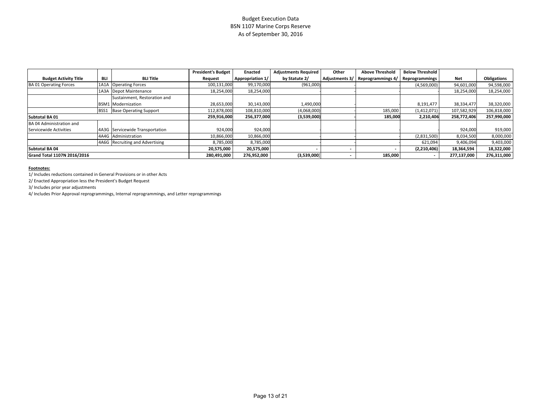# Budget Execution Data BSN 1107 Marine Corps Reserve As of September 30, 2016

|                               |             |                                 | <b>President's Budget</b> | Enacted          | <b>Adjustments Required</b> | Other                 | <b>Above Threshold</b>   | <b>Below Threshold</b>   |             |                    |
|-------------------------------|-------------|---------------------------------|---------------------------|------------------|-----------------------------|-----------------------|--------------------------|--------------------------|-------------|--------------------|
| <b>Budget Activity Title</b>  | BLI         | <b>BLI Title</b>                | Request                   | Appropriation 1/ | by Statute 2/               | <b>Adjustments 3/</b> | <b>Reprogrammings 4/</b> | Reprogrammings           | Net         | <b>Obligations</b> |
| <b>BA 01 Operating Forces</b> | <b>1A1A</b> | Operating Forces                | 100,131,000               | 99,170,000       | (961,000)                   |                       |                          | (4,569,000)              | 94,601,000  | 94,598,000         |
|                               |             | 1A3A Depot Maintenance          | 18,254,000                | 18,254,000       |                             |                       |                          |                          | 18,254,000  | 18,254,000         |
|                               |             | Sustainment, Restoration and    |                           |                  |                             |                       |                          |                          |             |                    |
|                               | BSM1        | 1 Modernization                 | 28,653,000                | 30,143,000       | 1,490,000                   |                       |                          | 8,191,477                | 38,334,477  | 38,320,000         |
|                               | BSS:        | <b>Base Operating Support</b>   | 112,878,000               | 108,810,000      | (4,068,000)                 |                       | 185,000                  | (1,412,071)              | 107,582,929 | 106,818,000        |
| Subtotal BA 01                |             |                                 | 259,916,000               | 256,377,000      | (3,539,000)                 |                       | 185,000                  | 2,210,406                | 258,772,406 | 257,990,000        |
| BA 04 Administration and      |             |                                 |                           |                  |                             |                       |                          |                          |             |                    |
| Servicewide Activities        |             | 4A3G Servicewide Transportation | 924,000                   | 924,000          |                             |                       |                          |                          | 924,000     | 919,000            |
|                               |             | 4A4G Administration             | 10,866,000                | 10,866,000       |                             |                       |                          | (2,831,500)              | 8,034,500   | 8,000,000          |
|                               |             | 4A6G Recruiting and Advertising | 8,785,000                 | 8,785,000        |                             |                       |                          | 621,094                  | 9,406,094   | 9,403,000          |
| Subtotal BA 04                |             |                                 | 20,575,000                | 20,575,000       |                             |                       |                          | (2,210,406)              | 18,364,594  | 18,322,000         |
| Grand Total 1107N 2016/2016   |             |                                 | 280,491,000               | 276,952,000      | (3,539,000)                 |                       | 185,000                  | $\overline{\phantom{a}}$ | 277,137,000 | 276,311,000        |

#### **Footnotes:**

1/ Includes reductions contained in General Provisions or in other Acts

2/ Enacted Appropriation less the President's Budget Request

3/ Includes prior year adjustments

4/ Includes Prior Approval reprogrammings, Internal reprogrammings, and Letter reprogrammings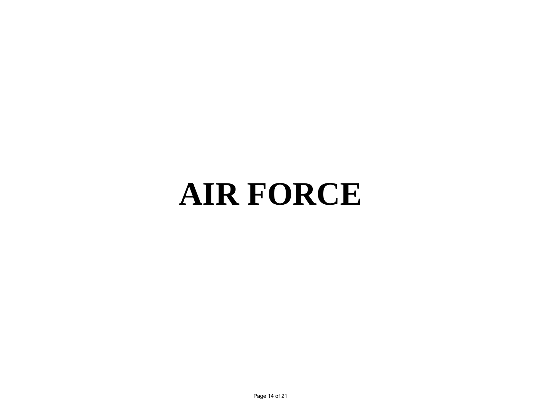# **AIR FORCE**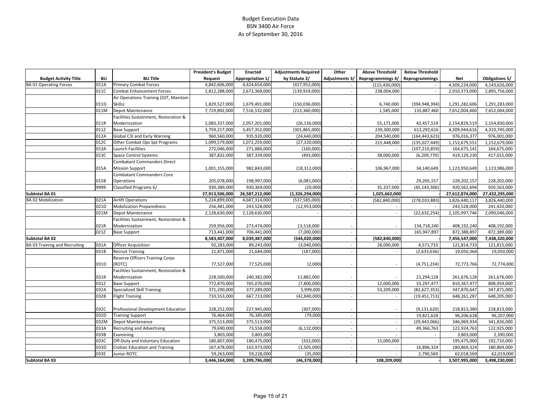# Budget Execution Data BSN 3400 Air Force As of September 30, 2016

|                                      |      |                                        | <b>President's Budget</b> | <b>Enacted</b>   | <b>Adjustments Required</b> | Other                    | <b>Above Threshold</b>   | <b>Below Threshold</b>   |                |                       |
|--------------------------------------|------|----------------------------------------|---------------------------|------------------|-----------------------------|--------------------------|--------------------------|--------------------------|----------------|-----------------------|
| <b>Budget Activity Title</b>         | BLI  | <b>BLI Title</b>                       | Request                   | Appropriation 1/ | by Statute 2/               | Adjustments 3/           | <b>Reprogrammings 4/</b> | <b>Reprogrammings</b>    | Net            | <b>Obligations 5/</b> |
| <b>BA 01 Operating Forces</b>        | 011A | <b>Primary Combat Forces</b>           | 4,842,606,000             | 4,424,654,000    | (417, 952, 000)             | $\overline{\phantom{a}}$ | (115, 430, 000)          | $\sim$                   | 4,309,224,000  | 4,143,626,000         |
|                                      | 011C | <b>Combat Enhancement Forces</b>       | 2,812,288,000             | 2,672,369,000    | (139, 919, 000)             |                          | 238,004,000              | $\overline{\phantom{a}}$ | 2,910,373,000  | 2,895,756,000         |
|                                      |      | Air Operations Training (OJT, Maintain |                           |                  |                             |                          |                          |                          |                |                       |
|                                      | 011D | Skills)                                | 1,829,527,000             | 1,679,491,000    | (150,036,000)               |                          | 6,740,000                | (394, 948, 394)          | 1,291,282,606  | 1,291,283,000         |
|                                      | 011M | Depot Maintenance                      | 7,729,892,000             | 7,516,532,000    | (213, 360, 000)             | $\overline{\phantom{a}}$ | 1,585,000                | 133,887,460              | 7,652,004,460  | 7,652,004,000         |
|                                      |      | Facilities Sustainment, Restoration &  |                           |                  |                             |                          |                          |                          |                |                       |
|                                      | 011R | Modernization                          | 2,083,337,000             | 2,057,201,000    | (26, 136, 000)              |                          | 55,171,000               | 42,457,519               | 2,154,829,519  | 2,154,830,000         |
|                                      | 011Z | <b>Base Support</b>                    | 3,759,217,000             | 3,457,352,000    | (301, 865, 000)             |                          | 239,300,000              | 613,292,616              | 4,309,944,616  | 4,310,745,000         |
|                                      | 012A | Global C3I and Early Warning           | 960,560,000               | 935,920,000      | (24, 640, 000)              | $\blacksquare$           | 204,540,000              | (164, 443, 623)          | 976,016,377    | 976,001,000           |
|                                      | 012C | Other Combat Ops Spt Programs          | 1,099,579,000             | 1,072,259,000    | (27, 320, 000)              | $\overline{\phantom{a}}$ | 215,448,000              | (135, 027, 449)          | 1,152,679,551  | 1,152,679,000         |
|                                      | 013A | Launch Facilities                      | 272,046,000               | 271,886,000      | (160,000)                   | $\overline{\phantom{a}}$ |                          | (107, 210, 859)          | 164,675,141    | 164,675,000           |
|                                      | 013C | <b>Space Control Systems</b>           | 387,832,000               | 387,339,000      | (493,000)                   | $\overline{\phantom{a}}$ | 38,000,000               | (6, 209, 770)            | 419,129,230    | 417,015,000           |
|                                      |      | <b>Combatant Commanders Direct</b>     |                           |                  |                             |                          |                          |                          |                |                       |
|                                      | 015A | <b>Mission Support</b>                 | 1,001,155,000             | 982,843,000      | (18, 312, 000)              | $\overline{\phantom{a}}$ | 106,967,000              | 34,140,649               | 1,123,950,649  | 1,123,986,000         |
|                                      |      | Combatant Commanders Core              |                           |                  |                             |                          |                          |                          |                |                       |
|                                      | 015B | <b>Operations</b>                      | 205,078,000               | 198,997,000      | (6,081,000)                 |                          |                          | 29,205,157               | 228,202,157    | 228,202,000           |
|                                      | 9999 | <b>Classified Programs 6/</b>          | 930,389,000               | 930,369,000      | (20,000)                    | $\overline{\phantom{a}}$ | 35,337,000               | (45, 143, 306)           | 920,562,694    | 920,563,000           |
| Subtotal BA 01                       |      |                                        | 27,913,506,000            | 26,587,212,000   | (1,326,294,000)             |                          | 1,025,662,000            |                          | 27,612,874,000 | 27,432,295,000        |
| <b>BA 02 Mobilization</b>            | 021A | <b>Airlift Operations</b>              | 5,224,899,000             | 4,687,314,000    | (537, 585, 000)             | $\overline{\phantom{a}}$ | (582, 840, 000)          | (278, 033, 883)          | 3,826,440,117  | 3,826,440,000         |
|                                      | 021D | <b>Mobilization Preparedness</b>       | 256,481,000               | 243,528,000      | (12,953,000)                |                          |                          |                          | 243,528,000    | 241,420,000           |
|                                      | 021M | Depot Maintenance                      | 2,128,630,000             | 2,128,630,000    |                             |                          | $\overline{\phantom{a}}$ | (22, 632, 254)           | 2,105,997,746  | 2,090,046,000         |
|                                      |      | Facilities Sustainment, Restoration &  |                           |                  |                             |                          |                          |                          |                |                       |
|                                      | 021R | Modernization                          | 259,956,000               | 273,474,000      | 13,518,000                  |                          |                          | 134,718,240              | 408,192,240    | 408,192,000           |
|                                      | 021Z | <b>Base Support</b>                    | 713,441,000               | 706,441,000      | (7,000,000)                 | $\sim$                   | $\sim$                   | 165,947,897              | 872,388,897    | 872,389,000           |
| Subtotal BA 02                       |      |                                        | 8,583,407,000             | 8,039,387,000    | (544, 020, 000)             |                          | (582, 840, 000)          |                          | 7,456,547,000  | 7,438,320,000         |
| <b>BA 03 Training and Recruiting</b> | 031A | <b>Officer Acquisition</b>             | 92,283,000                | 89,243,000       | (3,040,000)                 |                          | 28,000,000               | 4,571,733                | 121,814,733    | 121,815,000           |
|                                      | 031B | <b>Recruit Training</b>                | 21,871,000                | 21,684,000       | (187,000)                   | $\overline{\phantom{a}}$ |                          | (2,633,636)              | 19,050,364     | 19,050,000            |
|                                      |      | <b>Reserve Officers Training Corps</b> |                           |                  |                             |                          |                          |                          |                |                       |
|                                      | 031D | (ROTC)                                 | 77,527,000                | 77,525,000       | (2,000)                     |                          |                          | (4,751,234)              | 72,773,766     | 72,774,000            |
|                                      |      | Facilities Sustainment, Restoration &  |                           |                  |                             |                          |                          |                          |                |                       |
|                                      | 031R | Modernization                          | 228,500,000               | 240,382,000      | 11,882,000                  |                          |                          | 21,294,128               | 261,676,128    | 261,676,000           |
|                                      | 031Z | <b>Base Support</b>                    | 772,870,000               | 765,070,000      | (7,800,000)                 | $\overline{\phantom{a}}$ | 12,000,000               | 33,297,477               | 810,367,477    | 808,959,000           |
|                                      | 032A | <b>Specialized Skill Training</b>      | 371,290,000               | 377,289,000      | 5,999,000                   | $\overline{\phantom{a}}$ | 53,209,000               | (82, 627, 353)           | 347,870,647    | 347,871,000           |
|                                      | 032B | <b>Flight Training</b>                 | 710,553,000               | 667,713,000      | (42, 840, 000)              | $\overline{a}$           | $\overline{\phantom{a}}$ | (19, 451, 713)           | 648,261,287    | 648,205,000           |
|                                      |      |                                        |                           |                  |                             |                          |                          |                          |                |                       |
|                                      | 032C | Professional Development Education     | 228,252,000               | 227,945,000      | (307,000)                   |                          |                          | (9, 131, 620)            | 218,813,380    | 218,813,000           |
|                                      | 032D | <b>Training Support</b>                | 76,464,000                | 76,385,000       | (79,000)                    | $\overline{\phantom{a}}$ | $\blacksquare$           | 19,821,628               | 96,206,628     | 96,207,000            |
|                                      | 032M | Depot Maintenance                      | 375,513,000               | 375,513,000      |                             |                          |                          | (29, 443, 066)           | 346,069,934    | 341,826,000           |
|                                      | 033A | <b>Recruiting and Advertising</b>      | 79,690,000                | 73,558,000       | (6, 132, 000)               | $\overline{\phantom{a}}$ | $\sim$                   | 49,366,763               | 122,924,763    | 122,925,000           |
|                                      | 033B | Examining                              | 3,803,000                 | 3,803,000        |                             | $\overline{\phantom{a}}$ |                          |                          | 3,803,000      | 2,390,000             |
|                                      | 033C | Off-Duty and Voluntary Education       | 180,807,000               | 180,475,000      | (332,000)                   | $\overline{\phantom{a}}$ | 15,000,000               |                          | 195,475,000    | 192,710,000           |
|                                      | 033D | Civilian Education and Training        | 167,478,000               | 163,973,000      | (3,505,000)                 | $\overline{\phantom{a}}$ | $\sim$                   | 16,896,324               | 180,869,324    | 180,869,000           |
|                                      | 033E | Junior ROTC                            | 59,263,000                | 59,228,000       | (35,000)                    |                          |                          | 2,790,569                | 62,018,569     | 62,019,000            |
| Subtotal BA 03                       |      |                                        | 3,446,164,000             | 3,399,786,000    | (46, 378, 000)              |                          | 108,209,000              |                          | 3,507,995,000  | 3,498,230,000         |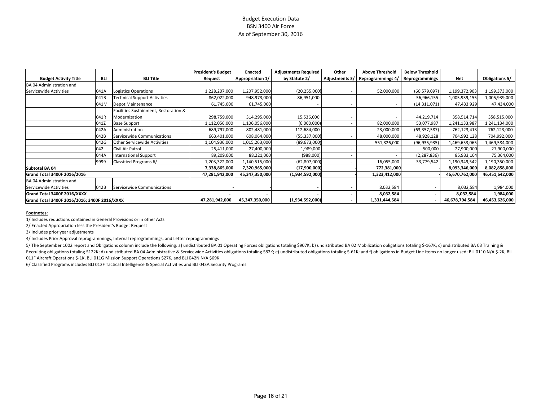## Budget Execution Data BSN 3400 Air Force As of September 30, 2016

|                                              |            |                                       | <b>President's Budget</b> | <b>Enacted</b>   | <b>Adjustments Required</b> | Other                 | <b>Above Threshold</b> | <b>Below Threshold</b>   |                |                |
|----------------------------------------------|------------|---------------------------------------|---------------------------|------------------|-----------------------------|-----------------------|------------------------|--------------------------|----------------|----------------|
| <b>Budget Activity Title</b>                 | <b>BLI</b> | <b>BLI Title</b>                      | Request                   | Appropriation 1/ | by Statute 2/               | <b>Adjustments 3/</b> | Reprogrammings 4       | Reprogrammings           | <b>Net</b>     | Obligations 5/ |
| BA 04 Administration and                     |            |                                       |                           |                  |                             |                       |                        |                          |                |                |
| Servicewide Activities                       | 041A       | Logistics Operations                  | 1,228,207,000             | 1,207,952,000    | (20, 255, 000)              |                       | 52,000,000             | (60, 579, 097)           | 1,199,372,903  | 1,199,373,000  |
|                                              | 041B       | <b>Technical Support Activities</b>   | 862,022,000               | 948,973,000      | 86,951,000                  |                       |                        | 56,966,155               | 1,005,939,155  | 1,005,939,000  |
|                                              | 041M       | Depot Maintenance                     | 61,745,000                | 61,745,000       |                             |                       |                        | (14, 311, 071)           | 47,433,929     | 47,434,000     |
|                                              |            | Facilities Sustainment, Restoration & |                           |                  |                             |                       |                        |                          |                |                |
|                                              | 041R       | Modernization                         | 298,759,000               | 314,295,000      | 15,536,000                  |                       |                        | 44,219,714               | 358,514,714    | 358,515,000    |
|                                              | 041Z       | <b>Base Support</b>                   | 1,112,056,000             | 1,106,056,000    | (6,000,000)                 |                       | 82,000,000             | 53,077,987               | 1,241,133,987  | 1,241,134,000  |
|                                              | 042A       | Administration                        | 689,797,000               | 802,481,000      | 112,684,000                 |                       | 23,000,000             | (63, 357, 587)           | 762,123,413    | 762,123,000    |
|                                              | 042B       | Servicewide Communications            | 663,401,000               | 608,064,000      | (55, 337, 000)              |                       | 48,000,000             | 48,928,128               | 704,992,128    | 704,992,000    |
|                                              | 042G       | <b>Other Servicewide Activities</b>   | 1,104,936,000             | 1,015,263,000    | (89, 673, 000)              |                       | 551,326,000            | (96, 935, 935)           | 1,469,653,065  | 1,469,584,000  |
|                                              | 0421       | Civil Air Patrol                      | 25,411,000                | 27,400,000       | 1,989,000                   |                       |                        | 500,000                  | 27,900,000     | 27,900,000     |
|                                              | 044A       | <b>International Support</b>          | 89,209,000                | 88,221,000       | (988,000)                   |                       |                        | (2, 287, 836)            | 85,933,164     | 75,364,000     |
|                                              | 9999       | Classified Programs 6/                | 1,203,322,000             | 1,140,515,000    | (62, 807, 000)              |                       | 16,055,000             | 33,779,542               | 1,190,349,542  | 1,190,350,000  |
| Subtotal BA 04                               |            |                                       | 7,338,865,000             | 7,320,965,000    | (17,900,000)                |                       | 772,381,000            |                          | 8,093,346,000  | 8,082,858,000  |
| Grand Total 3400F 2016/2016                  |            |                                       | 47,281,942,000            | 45,347,350,000   | (1,934,592,000)             |                       | 1,323,412,000          |                          | 46,670,762,000 | 46,451,642,000 |
| BA 04 Administration and                     |            |                                       |                           |                  |                             |                       |                        |                          |                |                |
| Servicewide Activities                       | 042B       | Servicewide Communications            |                           |                  |                             |                       | 8,032,584              |                          | 8,032,584      | 1,984,000      |
| Grand Total 3400F 2016/XXXX                  |            |                                       |                           |                  |                             |                       | 8,032,584              | $\overline{\phantom{a}}$ | 8,032,584      | 1,984,000      |
| Grand Total 3400F 2016/2016; 3400F 2016/XXXX |            |                                       | 47,281,942,000            | 45,347,350,000   | (1,934,592,000)             |                       | 1,331,444,584          |                          | 46,678,794,584 | 46,453,626,000 |

#### **Footnotes:**

1/ Includes reductions contained in General Provisions or in other Acts

2/ Enacted Appropriation less the President's Budget Request

3/ Includes prior year adjustments

4/ Includes Prior Approval reprogrammings, Internal reprogrammings, and Letter reprogrammings

5/ The September 1002 report and Obligations column include the following: a) undistributed BA 01 Operating Forces obligations totaling \$907K; b) undistributed BA 02 Mobilization obligations totaling \$-167K; c) undistribut Recruiting obligations totaling \$122K; d) undistributed BA 04 Administrative & Servicewide Activities obligations totaling \$82K; e) undistributed obligations totaling \$-61K; and f) obligations in Budget Line Items no longe 011F Aircraft Operations \$‐1K, BLI 011G Mission Support Operations \$27K, and BLI 042N N/A \$69K

6/ Classified Programs includes BLI 012F Tactical Intelligence & Special Activities and BLI 043A Security Programs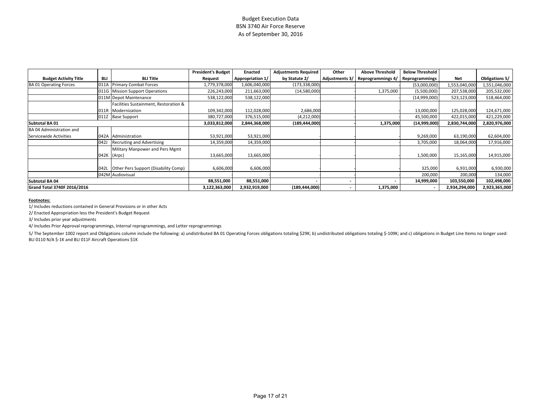### Budget Execution Data BSN 3740 Air Force Reserve As of September 30, 2016

|                               |      |                                       | <b>President's Budget</b> | <b>Enacted</b>   | <b>Adjustments Required</b> | Other                 | <b>Above Threshold</b>   | <b>Below Threshold</b> |               |                |
|-------------------------------|------|---------------------------------------|---------------------------|------------------|-----------------------------|-----------------------|--------------------------|------------------------|---------------|----------------|
| <b>Budget Activity Title</b>  | BLI  | <b>BLI Title</b>                      | Request                   | Appropriation 1/ | by Statute 2/               | <b>Adjustments 3/</b> | <b>Reprogrammings 4/</b> | Reprogrammings         | Net           | Obligations 5/ |
| <b>BA 01 Operating Forces</b> |      | <b>Primary Combat Forces</b>          | 1,779,378,000             | 1,606,040,000    | (173, 338, 000)             |                       |                          | (53,000,000)           | 1,553,040,000 | 1,551,046,000  |
|                               | 011G | <b>Mission Support Operations</b>     | 226,243,000               | 211,663,000      | (14,580,000)                |                       | 1,375,000                | (5,500,000)            | 207,538,000   | 205,532,000    |
|                               |      | 011M Depot Maintenance                | 538,122,000               | 538,122,000      |                             |                       |                          | (14,999,000)           | 523,123,000   | 518,464,000    |
|                               |      | Facilities Sustainment, Restoration & |                           |                  |                             |                       |                          |                        |               |                |
|                               | 011R | Modernization                         | 109,342,000               | 112,028,000      | 2,686,000                   |                       |                          | 13,000,000             | 125,028,000   | 124,671,000    |
|                               | 011Z | <b>Base Support</b>                   | 380,727,000               | 376,515,000      | (4, 212, 000)               |                       |                          | 45,500,000             | 422,015,000   | 421,229,000    |
| Subtotal BA 01                |      | 3,033,812,000                         | 2,844,368,000             | (189, 444, 000)  |                             | 1,375,000             | (14,999,000)             | 2,830,744,000          | 2,820,976,000 |                |
| BA 04 Administration and      |      |                                       |                           |                  |                             |                       |                          |                        |               |                |
| Servicewide Activities        | 042A | Administration                        | 53,921,000                | 53,921,000       |                             |                       |                          | 9,269,000              | 63,190,000    | 62,604,000     |
|                               | 042J | <b>Recruiting and Advertising</b>     | 14,359,000                | 14,359,000       |                             |                       |                          | 3,705,000              | 18,064,000    | 17,916,000     |
|                               |      | Military Manpower and Pers Mgmt       |                           |                  |                             |                       |                          |                        |               |                |
|                               | 042K | (Arpc)                                | 13,665,000                | 13,665,000       |                             |                       |                          | 1,500,000              | 15,165,000    | 14,915,000     |
|                               |      |                                       |                           |                  |                             |                       |                          |                        |               |                |
|                               | 042L | Other Pers Support (Disability Comp)  | 6,606,000                 | 6,606,000        |                             |                       |                          | 325,000                | 6,931,000     | 6,930,000      |
|                               |      | 042M Audiovisual                      |                           |                  |                             |                       |                          | 200,000                | 200,000       | 134,000        |
| Subtotal BA 04                |      | 88,551,000                            | 88,551,000                |                  |                             |                       | 14,999,000               | 103,550,000            | 102,498,000   |                |
| Grand Total 3740F 2016/2016   |      | 3,122,363,000                         | 2,932,919,000             | (189,444,000)    |                             | 1,375,000             |                          | 2,934,294,000          | 2,923,365,000 |                |

#### **Footnotes:**

1/ Includes reductions contained in General Provisions or in other Acts

2/ Enacted Appropriation less the President's Budget Request

3/ Includes prior year adjustments

4/ Includes Prior Approval reprogrammings, Internal reprogrammings, and Letter reprogrammings

5/ The September 1002 report and Obligations column include the following: a) undistributed BA 01 Operating Forces obligations totaling \$29K; b) undistributed obligations totaling \$-109K; and c) obligations in Budget Line BLI 0110 N/A \$‐1K and BLI 011F Aircraft Operations \$1K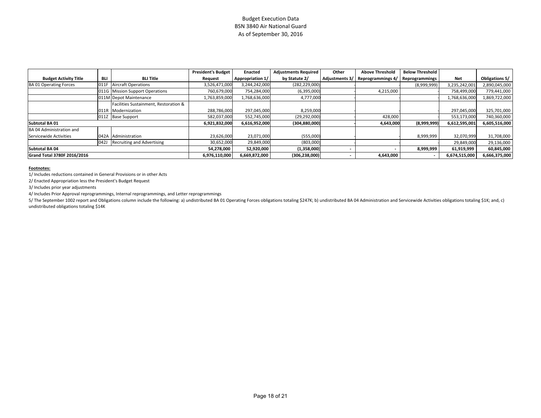### Budget Execution Data BSN 3840 Air National Guard As of September 30, 2016

|                               |            |                                       | <b>President's Budget</b> | Enacted          | <b>Adjustments Required</b> | Other                 | <b>Above Threshold</b>   | <b>Below Threshold</b> |               |                |
|-------------------------------|------------|---------------------------------------|---------------------------|------------------|-----------------------------|-----------------------|--------------------------|------------------------|---------------|----------------|
| <b>Budget Activity Title</b>  | <b>BLI</b> | <b>BLI Title</b>                      | Request                   | Appropriation 1/ | by Statute 2/               | <b>Adjustments 3/</b> | <b>Reprogrammings 4/</b> | Reprogrammings         | Net           | Obligations 5/ |
| <b>BA 01 Operating Forces</b> | 011        | <b>Aircraft Operations</b>            | 3,526,471,000             | 3,244,242,000    | (282, 229, 000)             |                       |                          | (8,999,999)            | 3,235,242,001 | 2,890,045,000  |
|                               |            | 011G Mission Support Operations       | 760,679,000               | 754,284,000      | (6,395,000)                 |                       | 4,215,000                |                        | 758,499,000   | 779,441,000    |
|                               |            | 011M Depot Maintenance                | 1,763,859,000             | 1,768,636,000    | 4,777,000                   |                       |                          |                        | 1,768,636,000 | 1,869,722,000  |
|                               |            | Facilities Sustainment, Restoration & |                           |                  |                             |                       |                          |                        |               |                |
|                               | 011R       | Modernization                         | 288,786,000               | 297,045,000      | 8,259,000                   |                       |                          |                        | 297,045,000   | 325,701,000    |
|                               |            | 011Z Base Support                     | 582,037,000               | 552,745,000      | (29, 292, 000)              |                       | 428,000                  |                        | 553,173,000   | 740,360,000    |
| <b>Subtotal BA 01</b>         |            | 6,921,832,000                         | 6,616,952,000             | (304, 880, 000)  |                             | 4,643,000             | (8,999,999)              | 6,612,595,001          | 6,605,516,000 |                |
| BA 04 Administration and      |            |                                       |                           |                  |                             |                       |                          |                        |               |                |
| Servicewide Activities        | 042A       | Administration                        | 23,626,000                | 23,071,000       | (555,000)                   |                       |                          | 8,999,999              | 32,070,999    | 31,708,000     |
|                               | 042J       | <b>Recruiting and Advertising</b>     | 30,652,000                | 29,849,000       | (803,000)                   |                       |                          |                        | 29,849,000    | 29,136,000     |
| Subtotal BA 04                |            | 54,278,000                            | 52,920,000                | (1,358,000)      |                             |                       | 8,999,999                | 61,919,999             | 60,845,000    |                |
| Grand Total 3780F 2016/2016   |            | 6,976,110,000                         | 6,669,872,000             | (306, 238, 000)  |                             | 4,643,000             | $\overline{\phantom{a}}$ | 6,674,515,000          | 6,666,375,000 |                |

#### **Footnotes:**

1/ Includes reductions contained in General Provisions or in other Acts

2/ Enacted Appropriation less the President's Budget Request

3/ Includes prior year adjustments

4/ Includes Prior Approval reprogrammings, Internal reprogrammings, and Letter reprogrammings

5/ The September 1002 report and Obligations column include the following: a) undistributed BA 01 Operating Forces obligations totaling \$247K; b) undistributed BA 04 Administration and Servicewide Activities obligations to undistributed obligations totaling \$14K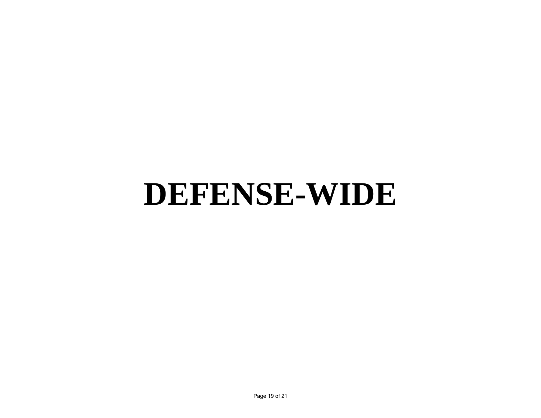# **DEFENSE-WIDE**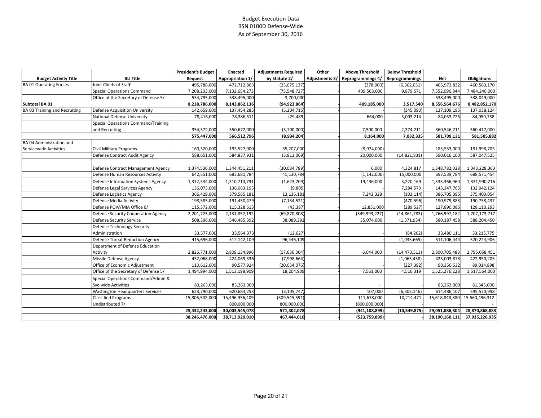# Budget Execution Data BSN 0100D Defense‐Wide As of September 30, 2016

|                                 |                                         | <b>President's Budget</b> | <b>Enacted</b>   | <b>Adjustments Required</b> | Other          | <b>Above Threshold</b> | <b>Below Threshold</b> |                |                    |
|---------------------------------|-----------------------------------------|---------------------------|------------------|-----------------------------|----------------|------------------------|------------------------|----------------|--------------------|
| <b>Budget Activity Title</b>    | <b>BLI Title</b>                        | Request                   | Appropriation 1/ | by Statute 2/               | Adjustments 3/ | Reprogrammings 4       | Reprogrammings         | Net            | <b>Obligations</b> |
| <b>BA 01 Operating Forces</b>   | Joint Chiefs of Staff                   | 495,788,000               | 472,712,863      | (23,075,137)                |                | (378,000)              | (6, 362, 031)          | 465,972,832    | 460,563,170        |
|                                 | <b>Special Operations Command</b>       | 7,208,203,000             | 7,132,654,273    | (75, 548, 727)              |                | 409,563,000            | 9,879,571              | 7,552,096,844  | 7,484,240,000      |
|                                 | Office of the Secretary of Defense 5/   | 534,795,000               | 538,495,000      | 3,700,000                   |                |                        |                        | 538,495,000    | 538,049,000        |
| Subtotal BA 01                  |                                         | 8,238,786,000             | 8,143,862,136    | (94, 923, 864)              |                | 409,185,000            | 3,517,540              | 8,556,564,676  | 8,482,852,170      |
| BA 03 Training and Recruiting   | Defense Acquisition University          | 142,659,000               | 137,454,285      | (5,204,715)                 |                |                        | (345,090)              | 137,109,195    | 137,038,124        |
|                                 | <b>National Defense University</b>      | 78,416,000                | 78,386,511       | (29, 489)                   |                | 664,000                | 5,003,214              | 84,053,725     | 84,050,758         |
|                                 | Special Operations Command/Training     |                           |                  |                             |                |                        |                        |                |                    |
|                                 | and Recruiting                          | 354,372,000               | 350,672,000      | (3,700,000)                 |                | 7,500,000              | 2,374,211              | 360,546,211    | 360,417,000        |
|                                 |                                         | 575,447,000               | 566,512,796      | (8,934,204)                 |                | 8,164,000              | 7,032,335              | 581,709,131    | 581,505,882        |
| <b>BA 04 Administration and</b> |                                         |                           |                  |                             |                |                        |                        |                |                    |
| Servicewide Activities          | <b>Civil Military Programs</b>          | 160,320,000               | 195,527,000      | 35,207,000                  |                | (9,974,000)            |                        | 185,553,000    | 181,998,705        |
|                                 | Defense Contract Audit Agency           | 588,651,000               | 584,837,931      | (3,813,069)                 |                | 20,000,000             | (14,821,831)           | 590,016,100    | 587,047,525        |
|                                 |                                         |                           |                  |                             |                |                        |                        |                |                    |
|                                 | Defense Contract Management Agency      | 1,374,536,000             | 1,344,451,211    | (30,084,789)                |                | 6,000                  | 4,324,817              | 1,348,782,028  | 1,343,228,363      |
|                                 | Defense Human Resources Activity        | 642,551,000               | 683,681,784      | 41,130,784                  |                | (1, 142, 000)          | 15,000,000             | 697,539,784    | 688,571,454        |
|                                 | Defense Information Systems Agency      | 1,312,334,000             | 1,310,710,791    | (1,623,209)                 |                | 19,436,000             | 3,220,169              | 1,333,366,960  | 1,331,990,216      |
|                                 | Defense Legal Services Agency           | 136,073,000               | 136,063,195      | (9,805)                     |                |                        | 7,284,570              | 143,347,765    | 132,942,124        |
|                                 | Defense Logistics Agency                | 366,429,000               | 379,565,181      | 13,136,181                  |                | 7,243,328              | (103, 114)             | 386,705,395    | 375,403,054        |
|                                 | Defense Media Activity                  | 198,585,000               | 191,450,479      | (7, 134, 521)               |                |                        | (470, 596)             | 190,979,883    | 190,758,437        |
|                                 | Defense POW/MIA Office 6/               | 115,372,000               | 115,328,613      | (43, 387)                   |                | 12,851,000             | (289, 527)             | 127,890,086    | 128,110,293        |
|                                 | Defense Security Cooperation Agency     | 2,201,723,000             | 2,131,852,192    | (69, 870, 808)              |                | (349, 993, 227)        | (14, 861, 783)         | 1,766,997,182  | 1,707,173,717      |
|                                 | <b>Defense Security Service</b>         | 508,396,000               | 546,485,392      | 38,089,392                  |                | 35,074,000             | (1,371,934)            | 580,187,458    | 588,204,450        |
|                                 | Defense Technology Security             |                           |                  |                             |                |                        |                        |                |                    |
|                                 | Administration                          | 33,577,000                | 33,564,373       | (12, 627)                   |                |                        | (84, 262)              | 33,480,111     | 33,215,775         |
|                                 | Defense Threat Reduction Agency         | 415,696,000               | 512,142,109      | 96,446,109                  |                |                        | (1,035,665)            | 511,106,444    | 520,224,906        |
|                                 | Department of Defense Education         |                           |                  |                             |                |                        |                        |                |                    |
|                                 | Activity                                | 2,826,771,000             | 2,809,134,996    | (17, 636, 004)              |                | 6,044,000              | (14, 473, 513)         | 2,800,705,483  | 2,795,058,451      |
|                                 | Missile Defense Agency                  | 432,068,000               | 424,069,336      | (7,998,664)                 |                |                        | (1,065,458)            | 423,003,878    | 422,950,205        |
|                                 | Office of Economic Adjustment           | 110,612,000               | 90,577,924       | (20,034,076)                |                |                        | (227, 392)             | 90,350,532     | 89,014,898         |
|                                 | Office of the Secretary of Defense 5/   | 1,494,994,000             | 1,513,198,909    | 18,204,909                  |                | 7,561,000              | 4,516,319              | 1,525,276,228  | 1,517,564,000      |
|                                 | Special Operations Command/Admin &      |                           |                  |                             |                |                        |                        |                |                    |
|                                 | Svc-wide Activities                     | 83,263,000                | 83,263,000       |                             |                |                        |                        | 83,263,000     | 81,345,000         |
|                                 | <b>Washington Headquarters Services</b> | 623,790,000               | 620,684,253      | (3, 105, 747)               |                | 107,000                | (6,305,146)            | 614,486,107    | 595,570,998        |
|                                 | <b>Classified Programs</b>              | 15,806,502,000            | 15,496,956,409   | (309, 545, 591)             |                | 111,678,000            | 10,214,471             | 15,618,848,880 | 15,560,496,312     |
|                                 | Undistributed 7/                        |                           | 800,000,000      | 800,000,000                 |                | (800,000,000)          |                        |                |                    |
|                                 |                                         | 29,432,243,000            | 30,003,545,078   | 571,302,078                 |                | (941, 108, 899)        | (10, 549, 875)         | 29,051,886,304 | 28,870,868,883     |
|                                 |                                         | 38,246,476,000            | 38,713,920,010   | 467,444,010                 |                | (523, 759, 899)        |                        | 38,190,160,111 | 37,935,226,935     |